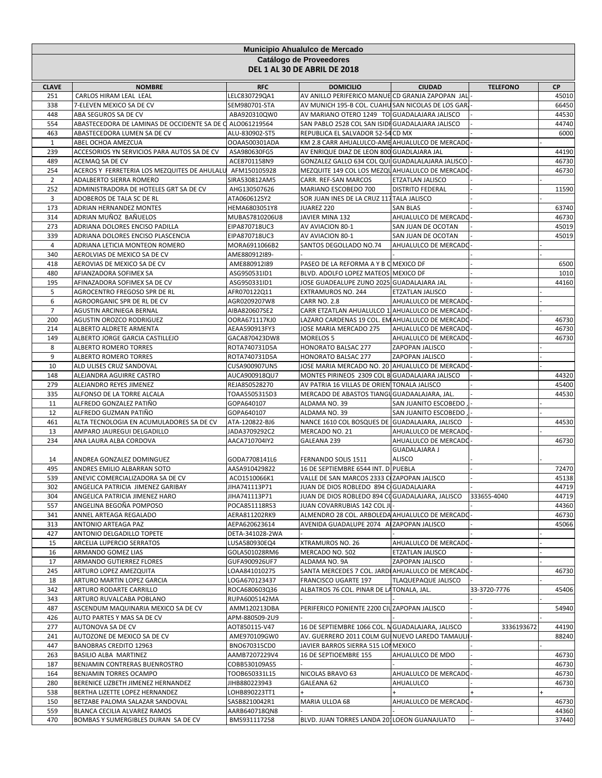|                       | Municipio Ahualulco de Mercado                                          |                                |                                                                                                  |                                          |                 |              |  |  |
|-----------------------|-------------------------------------------------------------------------|--------------------------------|--------------------------------------------------------------------------------------------------|------------------------------------------|-----------------|--------------|--|--|
|                       |                                                                         |                                | Catálogo de Proveedores                                                                          |                                          |                 |              |  |  |
|                       |                                                                         |                                | DEL 1 AL 30 DE ABRIL DE 2018                                                                     |                                          |                 |              |  |  |
|                       |                                                                         |                                |                                                                                                  |                                          |                 |              |  |  |
| <b>CLAVE</b><br>251   | <b>NOMBRE</b><br>CARLOS HIRAM LEAL LEAL                                 | <b>RFC</b><br>LELC830729QA1    | <b>DOMICILIO</b><br>AV ANILLO PERIFERICO MANUE CD GRANJA ZAPOPAN JAL                             | <b>CIUDAD</b>                            | <b>TELEFONO</b> | СP<br>45010  |  |  |
| 338                   | 7-ELEVEN MEXICO SA DE CV                                                | SEM980701-STA                  | AV MUNICH 195-B COL. CUAHU SAN NICOLAS DE LOS GARI                                               |                                          |                 | 66450        |  |  |
| 448                   | ABA SEGUROS SA DE CV                                                    | ABA920310QW0                   | AV MARIANO OTERO 1249 TO GUADALAJARA JALISCO                                                     |                                          |                 | 44530        |  |  |
| 554                   | ABASTECEDORA DE LAMINAS DE OCCIDENTE SA DE Q ALO061219564               |                                | SAN PABLO 2528 COL SAN ISIDI GUADALAJARA JALISCO                                                 |                                          |                 | 44740        |  |  |
| 463                   | ABASTECEDORA LUMEN SA DE CV                                             | ALU-830902-ST5                 | REPUBLICA EL SALVADOR 52-54 CD MX                                                                |                                          |                 | 6000         |  |  |
| $\mathbf{1}$          | ABEL OCHOA AMEZCUA                                                      | OOAA500301ADA                  | KM 2.8 CARR AHUALULCO-AME AHUALULCO DE MERCADO                                                   |                                          |                 |              |  |  |
| 239                   | ACCESORIOS YN SERVICIOS PARA AUTOS SA DE CV                             | ASA980630FG5                   | AV ENRIQUE DIAZ DE LEON 800 GUADLAJARA JAL                                                       |                                          |                 | 44190        |  |  |
| 489                   | ACEMAQ SA DE CV                                                         | ACE8701158N9                   | GONZALEZ GALLO 634 COL QUI GUADALALAJARA JALISCO                                                 |                                          |                 | 46730        |  |  |
| 254<br>$\overline{2}$ | ACEROS Y FERRETERIA LOS MEZQUITES DE AHULALU<br>ADALBERTO SIERRA ROMERO | AFM150105928<br>SIRA530812AM5  | MEZQUITE 149 COL LOS MEZQUAHUALULCO DE MERCADO<br>CARR. REF-SAN MARCOS                           | <b>ETZATLAN JALISCO</b>                  |                 | 46730        |  |  |
| 252                   | ADMINISTRADORA DE HOTELES GRT SA DE CV                                  | AHG130507626                   | MARIANO ESCOBEDO 700                                                                             | <b>DISTRITO FEDERAL</b>                  |                 | 11590        |  |  |
| 3                     | ADOBEROS DE TALA SC DE RL                                               | ATA060612SY2                   | SOR JUAN INES DE LA CRUZ 117 TALA JALISCO                                                        |                                          |                 |              |  |  |
| 173                   | <b>ADRIAN HERNANDEZ MONTES</b>                                          | HEMA6803051Y8                  | JUAREZ 220                                                                                       | <b>SAN BLAS</b>                          |                 | 63740        |  |  |
| 314                   | ADRIAN MUÑOZ BAÑUELOS                                                   | MUBAS7810206U8                 | JAVIER MINA 132                                                                                  | AHUALULCO DE MERCADO                     |                 | 46730        |  |  |
| 273                   | ADRIANA DOLORES ENCISO PADILLA                                          | EIPA870718UC3                  | AV AVIACION 80-1                                                                                 | SAN JUAN DE OCOTAN                       |                 | 45019        |  |  |
| 339                   | ADRIANA DOLORES ENCISO PLASCENCIA                                       | EIPA870718UC3                  | AV AVIACION 80-1                                                                                 | SAN JUAN DE OCOTAN                       |                 | 45019        |  |  |
| 4                     | ADRIANA LETICIA MONTEON ROMERO                                          | MORA6911066B2                  | SANTOS DEGOLLADO NO.74                                                                           | AHUALULCO DE MERCADO                     |                 |              |  |  |
| 340                   | AEROLVIAS DE MEXICO SA DE CV                                            | AME880912I89-                  |                                                                                                  |                                          |                 |              |  |  |
| 418<br>480            | AEROVIAS DE MEXICO SA DE CV<br>AFIANZADORA SOFIMEX SA                   | AME880912I89<br>ASG950531ID1   | PASEO DE LA REFORMA A Y B C MEXICO DF<br>BLVD. ADOLFO LOPEZ MATEOS MEXICO DF                     |                                          |                 | 6500<br>1010 |  |  |
| 195                   | AFINAZADORA SOFIMEX SA DE CV                                            | ASG950331ID1                   | JOSE GUADEALUPE ZUNO 2025 GUADALAJARA JAL                                                        |                                          |                 | 44160        |  |  |
| 5                     | AGROCENTRO FREGOSO SPR DE RL                                            | AFR070122Q11                   | EXTRAMUROS NO. 244                                                                               | ETZATLAN JALISCO                         |                 |              |  |  |
| 6                     | AGROORGANIC SPR DE RL DE CV                                             | AGR0209207W8                   | <b>CARR NO. 2.8</b>                                                                              | AHUALULCO DE MERCADO                     |                 |              |  |  |
| $\overline{7}$        | AGUSTIN ARCINIEGA BERNAL                                                | AIBA820607SE2                  | CARR ETZATLAN AHUALULCO 1 AHUALULCO DE MERCADO                                                   |                                          |                 |              |  |  |
| 200                   | AGUSTIN OROZCO RODRIGUEZ                                                | OORA671117KJ0                  | LAZARO CARDENAS 19 COL. EM AHUALULCO DE MERCADO                                                  |                                          |                 | 46730        |  |  |
| 214                   | ALBERTO ALDRETE ARMENTA                                                 | AEAA590913FY3                  | JOSE MARIA MERCADO 275                                                                           | AHUALULCO DE MERCADO                     |                 | 46730        |  |  |
| 149                   | ALBERTO JORGE GARCIA CASTILLEJO                                         | GACA870423DW8                  | <b>MORELOS 5</b>                                                                                 | AHUALULCO DE MERCADO                     |                 | 46730        |  |  |
| 8                     | ALBERTO ROMERO TORRES                                                   | ROTA740731D5A                  | HONORATO BALSAC 277                                                                              | ZAPOPAN JALISCO                          |                 |              |  |  |
| 9                     | ALBERTO ROMERO TORRES                                                   | ROTA740731D5A                  | HONORATO BALSAC 277                                                                              | ZAPOPAN JALISCO                          |                 |              |  |  |
| 10<br>148             | ALD ULISES CRUZ SANDOVAL<br>ALEJANDRA AGUIRRE CASTRO                    | CUSA900907UN5<br>AUCA900918QU7 | JOSE MARIA MERCADO NO. 20 AHUALULCO DE MERCADO<br>MONTES PIRINEOS 2309 COL B GUADALAJARA JALISCO |                                          |                 | 44320        |  |  |
| 279                   | ALEJANDRO REYES JIMENEZ                                                 | REJA850528270                  | AV PATRIA 16 VILLAS DE ORIEN TONALA JALISCO                                                      |                                          |                 | 45400        |  |  |
| 335                   | ALFONSO DE LA TORRE ALCALA                                              | TOAA5505315D3                  | MERCADO DE ABASTOS TIANGU GUADAALAJARA, JAL.                                                     |                                          |                 | 44530        |  |  |
| 11                    | ALFREDO GONZALEZ PATIÑO                                                 | GOPA640107                     | ALDAMA NO. 39                                                                                    | SAN JUANITO ESCOBEDO                     |                 |              |  |  |
| 12                    | ALFREDO GUZMAN PATIÑO                                                   | GOPA640107                     | ALDAMA NO. 39                                                                                    | SAN JUANITO ESCOBEDO                     |                 |              |  |  |
| 461                   | ALTA TECNOLOGIA EN ACUMULADORES SA DE CV                                | ATA-120822-BJ6                 | NANCE 1610 COL BOSQUES DE GUADALAJARA, JALISCO                                                   |                                          |                 | 44530        |  |  |
| 13                    | AMPARO JAUREGUI DELGADILLO                                              | JADA3709292C2                  | MERCADO NO. 21                                                                                   | AHUALULCO DE MERCADO                     |                 |              |  |  |
| 234                   | ANA LAURA ALBA CORDOVA                                                  | AACA710704IY2                  | GALEANA 239                                                                                      | AHUALULCO DE MERCADO                     |                 | 46730        |  |  |
| 14                    | ANDREA GONZALEZ DOMINGUEZ                                               | GODA7708141L6                  | FERNANDO SOLIS 1511                                                                              | <b>GUADALAJARA J</b><br><b>ALISCO</b>    |                 |              |  |  |
| 495                   | ANDRES EMILIO ALBARRAN SOTO                                             | AASA910429822                  | 16 DE SEPTIEMBRE 6544 INT. D PUEBLA                                                              |                                          |                 | 72470        |  |  |
| 539                   | ANEVIC COMERCIALIZADORA SA DE CV                                        | ACO1510066K1                   | VALLE DE SAN MARCOS 2333 CIZAPOPAN JALISCO                                                       |                                          |                 | 45138        |  |  |
| 302                   | ANGELICA PATRICIA JIMENEZ GARIBAY                                       | JIHA741113P71                  | JUAN DE DIOS ROBLEDO 894 C GUADALAJARA                                                           |                                          |                 | 44719        |  |  |
| 304                   | ANGELICA PATRICIA JIMENEZ HARO                                          | JIHA741113P71                  | JUAN DE DIOS ROBLEDO 894 COGUADALAJARA, JALISCO                                                  |                                          | 333655-4040     | 44719        |  |  |
| 557                   | ANGELINA BEGOÑA POMPOSO                                                 | POCA851118RS3                  | JUAN COVARRUBIAS 142 COL JI                                                                      |                                          |                 | 44360        |  |  |
| 341                   | ANNEL ARTEAGA REGALADO                                                  | AERA811202RK9                  | ALMENDRO 28 COL. ARBOLEDA AHUALULCO DE MERCADO                                                   |                                          |                 | 46730        |  |  |
| 313                   | ANTONIO ARTEAGA PAZ                                                     | AEPA620623614                  | AVENIDA GUADALUPE 2074 A ZAPOPAN JALISCO                                                         |                                          |                 | 45066        |  |  |
| 427                   | ANTONIO DELGADILLO TOPETE                                               | DETA-341028-2WA                |                                                                                                  |                                          |                 |              |  |  |
| 15<br>16              | <b>ARCELIA LUPERCIO SERRATOS</b><br>ARMANDO GOMEZ LIAS                  | LUSA580930EQ4<br>GOLA501028RM6 | XTRAMUROS NO. 26<br>MERCADO NO. 502                                                              | AHUALULCO DE MERCADO<br>ETZATLAN JALISCO |                 |              |  |  |
| 17                    | ARMANDO GUTIERREZ FLORES                                                | GUFA900926UF7                  | ALDAMA NO. 9A                                                                                    | ZAPOPAN JALISCO                          |                 |              |  |  |
| 245                   | ARTURO LOPEZ AMEZQUITA                                                  | LOAA841010275                  | SANTA MERCEDES 7 COL. JARDI AHUALULCO DE MERCADO                                                 |                                          |                 | 46730        |  |  |
| 18                    | ARTURO MARTIN LOPEZ GARCIA                                              | LOGA670123437                  | FRANCISCO UGARTE 197                                                                             | TLAQUEPAQUE JALISCO                      |                 |              |  |  |
| 342                   | ARTURO RODARTE CARRILLO                                                 | ROCA680603Q36                  | ALBATROS 76 COL. PINAR DE LA TONALA, JAL.                                                        |                                          | 33-3720-7776    | 45406        |  |  |
| 343                   | ARTURO RUVALCABA POBLANO                                                | RUPA6005142MA                  |                                                                                                  |                                          |                 |              |  |  |
| 487                   | ASCENDUM MAQUINARIA MEXICO SA DE CV                                     | AMM120213DBA                   | PERIFERICO PONIENTE 2200 CIUZAPOPAN JALISCO                                                      |                                          |                 | 54940        |  |  |
| 426                   | AUTO PARTES Y MAS SA DE CV                                              | APM-880509-2U9                 |                                                                                                  |                                          |                 |              |  |  |
| 277                   | AUTONOVA SA DE CV                                                       | AOT850115-V47                  | 16 DE SEPTIEMBRE 1066 COL. N GUADALAJARA, JALISCO                                                |                                          | 3336193672      | 44190        |  |  |
| 241<br>447            | AUTOZONE DE MEXICO SA DE CV<br><b>BANOBRAS CREDITO 12963</b>            | AME970109GW0<br>BNO670315CD0   | AV. GUERRERO 2011 COLM GUI NUEVO LAREDO TAMAULII<br>JAVIER BARROS SIERRA 515 LOI MEXICO          |                                          |                 | 88240        |  |  |
| 263                   | BASILIO ALBA MARTINEZ                                                   | AAMB7207229V4                  | 16 DE SEPTIOEMBRE 155                                                                            | AHUALULCO DE MDO                         |                 | 46730        |  |  |
| 187                   | BENJAMIN CONTRERAS BUENROSTRO                                           | COBB530109AS5                  |                                                                                                  |                                          |                 | 46730        |  |  |
| 164                   | BENJAMIN TORRES OCAMPO                                                  | TOOB650331L15                  | NICOLAS BRAVO 63                                                                                 | AHUALULCO DE MERCADO                     |                 | 46730        |  |  |
| 280                   | BERENICE LIZBETH JIMENEZ HERNANDEZ                                      | JIHB880223943                  | GALEANA 62                                                                                       | AHUALULCO                                |                 | 46730        |  |  |
| 538                   | BERTHA LIZETTE LOPEZ HERNANDEZ                                          | LOHB890223TT1                  |                                                                                                  |                                          |                 | $+$          |  |  |
| 150                   | BETZABE PALOMA SALAZAR SANDOVAL                                         | SASB8210042R1                  | MARIA ULLOA 68                                                                                   | AHUALULCO DE MERCADO                     |                 | 46730        |  |  |
| 559                   | BLANCA CECILIA ALVAREZ RAMOS                                            | AARB640718QN8                  |                                                                                                  |                                          |                 | 44360        |  |  |
| 470                   | BOMBAS Y SUMERGIBLES DURAN SA DE CV                                     | BMS931117258                   | BLVD. JUAN TORRES LANDA 201LOEON GUANAJUATO                                                      |                                          |                 | 37440        |  |  |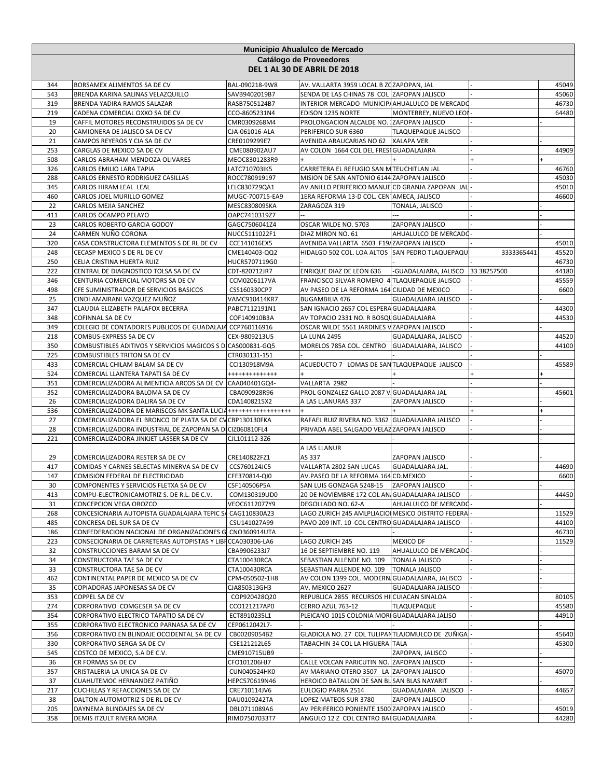|            | Municipio Ahualulco de Mercado                                                                        |                                |                                                                                         |                                         |             |                |  |  |
|------------|-------------------------------------------------------------------------------------------------------|--------------------------------|-----------------------------------------------------------------------------------------|-----------------------------------------|-------------|----------------|--|--|
|            | Catálogo de Proveedores<br>DEL 1 AL 30 DE ABRIL DE 2018                                               |                                |                                                                                         |                                         |             |                |  |  |
| 344        | BORSAMEX ALIMENTOS SA DE CV                                                                           | BAL-090218-9W8                 | AV. VALLARTA 3959 LOCAL B ZOZAPOPAN, JAL                                                |                                         |             | 45049          |  |  |
| 543        | BRENDA KARINA SALINAS VELAZQUILLO                                                                     | SAVB9402019B7                  | SENDA DE LAS CHINAS 78 COL ZAPOPAN JALISCO                                              |                                         |             | 45060          |  |  |
| 319<br>219 | BRENDA YADIRA RAMOS SALAZAR                                                                           | RASB7505124B7                  | INTERIOR MERCADO MUNICIP/AHUALULCO DE MERCADO<br>EDISON 1235 NORTE                      |                                         |             | 46730<br>64480 |  |  |
| 19         | CADENA COMERCIAL OXXO SA DE CV<br>CAFFIL MOTORES RECONSTRUIDOS SA DE CV                               | CCO-8605231N4<br>CMR0309268M4  | PROLONGACION ALCALDE NO. ZAPOPAN JALISCO                                                | MONTERREY, NUEVO LEOI                   |             |                |  |  |
| 20         | CAMIONERA DE JALISCO SA DE CV                                                                         | CJA-061016-ALA                 | PERIFERICO SUR 6360                                                                     | <b>TLAQUEPAQUE JALISCO</b>              |             |                |  |  |
| 21         | CAMPOS REYEROS Y CIA SA DE CV                                                                         | CRE0109299E7                   | AVENIDA ARAUCARIAS NO 62                                                                | <b>XALAPA VER</b>                       |             |                |  |  |
| 253        | CARGLAS DE MEXICO SA DE CV                                                                            | CME080902AU7                   | AV COLON 1664 COL DEL FRESI GUADALAJARA                                                 |                                         |             | 44909          |  |  |
| 508        | CARLOS ABRAHAM MENDOZA OLIVARES                                                                       | MEOC8301283R9                  | $+$                                                                                     |                                         |             |                |  |  |
| 326<br>288 | CARLOS EMILIO LARA TAPIA<br>CARLOS ERNESTO RODRIGUEZ CASILLAS                                         | LATC710703IK5<br>ROCC780919197 | CARRETERA EL REFUGIO SAN M TEUCHITLAN JAL<br>MISION DE SAN ANTONIO 6144 ZAPOPAN JALISCO |                                         |             | 46760<br>45030 |  |  |
| 345        | CARLOS HIRAM LEAL LEAL                                                                                | LELC830729QA1                  | AV ANILLO PERIFERICO MANUE CD GRANJA ZAPOPAN JAL                                        |                                         |             | 45010          |  |  |
| 460        | CARLOS JOEL MURILLO GOMEZ                                                                             | MUGC-700715-EA9                | 1ERA REFORMA 13-D COL. CEN AMECA, JALISCO                                               |                                         |             | 46600          |  |  |
| 22         | CARLOS MEJIA SANCHEZ                                                                                  | MESC830809SKA                  | ZARAGOZA 319                                                                            | TONALA, JALISCO                         |             |                |  |  |
| 411        | CARLOS OCAMPO PELAYO                                                                                  | OAPC7410319Z7                  |                                                                                         |                                         |             |                |  |  |
| 23         | CARLOS ROBERTO GARCIA GODOY                                                                           | GAGC7506041Z4<br>NUCC5111022F1 | OSCAR WILDE NO. 5703                                                                    | ZAPOPAN JALISCO                         |             |                |  |  |
| 24<br>320  | CARMEN NUÑO CORONA<br>CASA CONSTRUCTORA ELEMENTOS S DE RL DE CV                                       | CCE141016EX5                   | DIAZ MIRON NO. 61<br>AVENIDA VALLARTA 6503 F19/ZAPOPAN JALISCO                          | AHUALULCO DE MERCADO                    |             | 45010          |  |  |
| 248        | CECASP MEXICO S DE RL DE CV                                                                           | CME140403-QQ2                  | HIDALGO 502 COL. LOA ALTOS SAN PEDRO TLAQUEPAQU                                         |                                         | 3333365441  | 45520          |  |  |
| 250        | CELIA CRISTINA HUERTA RUIZ                                                                            | HUCR5707119G0                  |                                                                                         |                                         |             | 46730          |  |  |
| 222        | CENTRAL DE DIAGNOSTICO TOLSA SA DE CV                                                                 | CDT-820712JR7                  | ENRIQUE DIAZ DE LEON 636                                                                | -GUADALAJARA, JALISCO                   | 33 38257500 | 44180          |  |  |
| 346        | CENTURIA COMERCIAL MOTORS SA DE CV                                                                    | CCM0206117VA                   | FRANCISCO SILVAR ROMERO 4 TLAQUEPAQUE JALISCO                                           |                                         |             | 45559          |  |  |
| 498        | CFE SUMINISTRADOR DE SERVICIOS BASICOS                                                                | CSS160330CP7                   | AV PASEO DE LA REFORMA 164 CIUDAD DE MEXICO                                             |                                         |             | 6600           |  |  |
| 25<br>347  | CINDI AMAIRANI VAZQUEZ MUÑOZ<br>CLAUDIA ELIZABETH PALAFOX BECERRA                                     | VAMC910414KR7<br>PABC7112191N1 | <b>BUGAMBILIA 476</b><br>SAN IGNACIO 2657 COL ESPERA GUADALAJARA                        | <b>GUADALAJARA JALISCO</b>              |             | 44300          |  |  |
| 348        | COFINNAL SA DE CV                                                                                     | COF140910B3A                   | AV TOPACIO 2331 NO. R BOSQI GUADALAJARA                                                 |                                         |             | 44530          |  |  |
| 349        | COLEGIO DE CONTADORES PUBLICOS DE GUADALAJA CCP760116916                                              |                                | OSCAR WILDE 5561 JARDINES V ZAPOPAN JALISCO                                             |                                         |             |                |  |  |
| 218        | COMBUS-EXPRESS SA DE CV                                                                               | CEX-9809213U5                  | LA LUNA 2495                                                                            | GUADALAJARA, JALISCO                    |             | 44520          |  |  |
| 350        | COMBUSTIBLES ADITIVOS Y SERVICIOS MAGICOS S D CAS000831-GQ5                                           |                                | MORELOS 785A COL. CENTRO GUADALAJARA, JALISCO                                           |                                         |             | 44100          |  |  |
| 225        | COMBUSTIBLES TRITON SA DE CV                                                                          | CTR030131-151                  |                                                                                         |                                         |             |                |  |  |
| 433<br>524 | COMERCIAL CHILAM BALAM SA DE CV<br>COMERCIAL LLANTERA TAPATI SA DE CV                                 | CCI130918M9A<br>+++++++++++++  | ACUEDUCTO 7 LOMAS DE SANTLAQUEPAQUE JALISCO                                             |                                         |             | 45589          |  |  |
| 351        | COMERCIALIZADORA ALIMENTICIA ARCOS SA DE CV CAA040401GQ4-                                             |                                | VALLARTA 2982                                                                           |                                         |             |                |  |  |
| 352        | COMERCIALIZADORA BALOMA SA DE CV                                                                      | CBA090928R96                   | PROL GONZALEZ GALLO 2087 V GUADALAJARA JAL                                              |                                         |             | 45601          |  |  |
| 26         | COMERCIALIZADORA DALIRA SA DE CV                                                                      | CDA1408215X2                   | A LAS LLANURAS 337                                                                      | ZAPOPAN JALISCO                         |             |                |  |  |
| 536        | COMERCIALIZADORA DE MARISCOS MK SANTA LUCIA +++++++++++++++++++                                       |                                |                                                                                         |                                         |             |                |  |  |
| 27         | COMERCIALIZADORA EL BRONCO DE PLATA SA DE CV CBP130130FKA                                             |                                | RAFAEL RUIZ RIVERA NO. 3362 GUADALAJARA JALISCO                                         |                                         |             |                |  |  |
| 28<br>221  | COMERCIALIZADORA INDUSTRIAL DE ZAPOPAN SA DI CIZ060810FL4<br>COMERCIALIZADORA JINKJET LASSER SA DE CV | CJL101112-3Z6                  | PRIVADA ABEL SALGADO VELAZ ZAPOPAN JALISCO                                              |                                         |             |                |  |  |
|            |                                                                                                       |                                | A LAS LLANUR                                                                            |                                         |             |                |  |  |
| 29         | COMERCIALIZADORA RESTER SA DE CV                                                                      | CRE140822FZ1                   | AS 337                                                                                  | ZAPOPAN JALISCO                         |             |                |  |  |
| 417        | COMIDAS Y CARNES SELECTAS MINERVA SA DE CV                                                            | CCS760124JC5                   | VALLARTA 2802 SAN LUCAS                                                                 | GUADALAJARA JAL.                        |             | 44690          |  |  |
| 147        | COMISION FEDERAL DE ELECTRICIDAD                                                                      | CFE370814-QI0                  | AV.PASEO DE LA REFORMA 164 CD.MEXICO                                                    |                                         |             | 6600           |  |  |
| 30<br>413  | COMPONENTES Y SERVICIOS FLETXA SA DE CV                                                               | CSF140506P5A                   | SAN LUIS GONZAGA 5248-15                                                                | <b>ZAPOPAN JALISCO</b>                  |             | 44450          |  |  |
| 31         | COMPU-ELECTRONICAMOTRIZ S. DE R.L. DE C.V.<br>CONCEPCION VEGA OROZCO                                  | COM130319UD0<br>VEOC6112077Y9  | 20 DE NOVIEMBRE 172 COL AN GUADALAJARA JALISCO<br>DEGOLLADO NO. 62-A                    | AHUALULCO DE MERCADO                    |             |                |  |  |
| 268        | CONCESIONARIA AUTOPISTA GUADALAJARA TEPIC SA                                                          | CAG110830A23                   | LAGO ZURICH 245 AMLPLIACIOI MESICO DISTRITO FEDERA                                      |                                         |             | 11529          |  |  |
| 485        | CONCRESA DEL SUR SA DE CV                                                                             | CSU141027A99                   | PAVO 209 INT. 10 COL CENTRO GUADALAJARA JALISCO                                         |                                         |             | 44100          |  |  |
| 186        | CONFEDERACION NACIONAL DE ORGANIZACIONES G CNO360914UTA                                               |                                |                                                                                         |                                         |             | 46730          |  |  |
| 223        | CONSECIONARIA DE CARRETERAS AUTOPISTAS Y LIBI CCA030306-LA6                                           |                                | LAGO ZURICH 245                                                                         | MEXICO DF                               |             | 11529          |  |  |
| 32<br>34   | CONSTRUCCIONES BARAM SA DE CV                                                                         | CBA9906233J7                   | 16 DE SEPTIEMBRE NO. 119                                                                | AHUALULCO DE MERCADO                    |             |                |  |  |
| 33         | CONSTRUCTORA TAE SA DE CV<br>CONSTRUCTORA TAE SA DE CV                                                | CTA100430RCA<br>CTA100430RCA   | SEBASTIAN ALLENDE NO. 109<br>SEBASTIAN ALLENDE NO. 109                                  | TONALA JALISCO<br><b>TONALA JALISCO</b> |             |                |  |  |
| 462        | CONTINENTAL PAPER DE MEXICO SA DE CV                                                                  | CPM-050502-1H8                 | AV COLON 1399 COL. MODERN GUADALAJARA, JALISCO                                          |                                         |             |                |  |  |
| 35         | COPIADORAS JAPONESAS SA DE CV                                                                         | CJA850313GH3                   | AV. MEXICO 2627                                                                         | <b>GUADALAJARA JALISCO</b>              |             |                |  |  |
| 353        | COPPEL SA DE CV                                                                                       | COP920428Q20                   | REPUBLICA 2855 RECURSOS HI CUIACAN SINALOA                                              |                                         |             | 80105          |  |  |
| 274        | CORPORATIVO COMGESER SA DE CV                                                                         | CCO121217AP0                   | CERRO AZUL 763-12                                                                       | TLAQUEPAQUE                             |             | 45580          |  |  |
| 354<br>355 | CORPORATIVO ELECTRICO TAPATIO SA DE CV<br>CORPORATIVO ELECTRONICO PARNASA SA DE CV                    | ECT8910235L1<br>CEP0612042L7-  | PLEICANO 1015 COLONIA MORI GUADALAJARA JALISO                                           |                                         |             | 44910          |  |  |
| 356        | CORPORATIVO EN BLINDAJE OCCIDENTAL SA DE CV                                                           | CB00209054B2                   | GLADIOLA NO. 27 COL TULIPANTLAJOMULCO DE ZUÑIGA                                         |                                         |             | 45640          |  |  |
| 330        | CORPORATIVO SERGA SA DE CV                                                                            | CSE121212L65                   | TABACHIN 34 COL LA HIGUERA TALA                                                         |                                         |             | 45300          |  |  |
| 545        | COSTCO DE MEXICO, S.A DE C.V.                                                                         | CME910715UB9                   |                                                                                         | ZAPOPAN, JALISCO                        |             |                |  |  |
| 36         | CR FORMAS SA DE CV                                                                                    | CFO101206HJ7                   | CALLE VOLCAN PARICUTIN NO. ZAPOPAN JALISCO                                              |                                         |             |                |  |  |
| 357        | CRISTALERIA LA UNICA SA DE CV                                                                         | CUN040524HK0                   | AV MARIANO OTERO 3507 LA ZAPOPAN JALISCO                                                |                                         |             | 45070          |  |  |
| 37<br>217  | CUAHUTEMOC HERNANDEZ PATIÑO<br>CUCHILLAS Y REFACCIONES SA DE CV                                       | HEPC570619N46<br>CRE710114JV6  | HEROICO BATALLON DE SAN BL SAN BLAS NAYARIT<br>EULOGIO PARRA 2514                       | GUADALAJARA JALISCO                     |             | 44657          |  |  |
| 38         | DALTON AUTOMOTRIZ S DE RL DE CV                                                                       | DAU0109242TA                   | LOPEZ MATEOS SUR 3780                                                                   | ZAPOPAN JALISCO                         |             |                |  |  |
| 205        | DAYNEMA BLINDAJES SA DE CV                                                                            | DBL0711089A6                   | AV PERIFERICO PONIENTE 1500 ZAPOPAN JALISCO                                             |                                         |             | 45019          |  |  |
| 358        | DEMIS ITZULT RIVERA MORA                                                                              | RIMD7507033T7                  | ANGULO 12 Z COL CENTRO BAI GUADALAJARA                                                  |                                         |             | 44280          |  |  |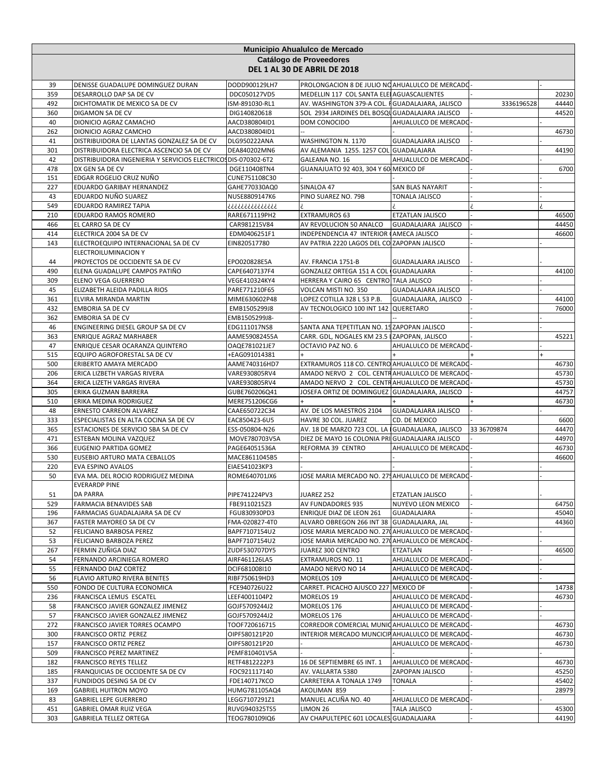|            | Municipio Ahualulco de Mercado                                      |                                |                                                                     |                                         |             |                |  |  |
|------------|---------------------------------------------------------------------|--------------------------------|---------------------------------------------------------------------|-----------------------------------------|-------------|----------------|--|--|
|            | Catálogo de Proveedores<br>DEL 1 AL 30 DE ABRIL DE 2018             |                                |                                                                     |                                         |             |                |  |  |
| 39         | DENISSE GUADALUPE DOMINGUEZ DURAN                                   | DODD900129LH7                  | PROLONGACION 8 DE JULIO NO AHUALULCO DE MERCADO                     |                                         |             |                |  |  |
| 359        | DESARROLLO DAP SA DE CV                                             | DDC050127VD5                   | MEDELLIN 117 COL SANTA ELEI AGUASCALIENTES                          |                                         |             | 20230          |  |  |
| 492        | DICHTOMATIK DE MEXICO SA DE CV                                      | ISM-891030-RL1                 | AV. WASHINGTON 379-A COL. FGUADALAJARA, JALISCO                     |                                         | 3336196528  | 44440          |  |  |
| 360        | DIGAMON SA DE CV                                                    | DIG140820618                   | SOL 2934 JARDINES DEL BOSQU GUADALAJARA JALISCO                     |                                         |             | 44520          |  |  |
| 40         | DIONICIO AGRAZ CAMACHO                                              | AACD380804ID1                  | DOM CONOCIDO                                                        | AHUALULCO DE MERCADO                    |             |                |  |  |
| 262<br>41  | DIONICIO AGRAZ CAMCHO<br>DISTRIBUIDORA DE LLANTAS GONZALEZ SA DE CV | AACD380804ID1                  | WASHINGTON N. 1170                                                  | GUADALAJARA JALISCO                     |             | 46730          |  |  |
| 301        | DISTRIBUIDORA ELECTRICA ASCENCIO SA DE CV                           | DLG950222ANA<br>DEA840202MN6   | AV ALEMANIA 1255. 1257 COL GUADALAJARA                              |                                         |             | 44190          |  |  |
| 42         | DISTRIBUIDORA INGENIERIA Y SERVICIOS ELECTRICOS DIS-070302-6T2      |                                | GALEANA NO. 16                                                      | AHUALULCO DE MERCADO                    |             |                |  |  |
| 478        | DX GEN SA DE CV                                                     | DGE110408TN4                   | GUANAJUATO 92 403, 304 Y 60 MEXICO DF                               |                                         |             | 6700           |  |  |
| 151        | EDGAR ROGELIO CRUZ NUÑO                                             | CUNE751108C30                  |                                                                     |                                         |             |                |  |  |
| 227        | EDUARDO GARIBAY HERNANDEZ                                           | GAHE770330AQ0                  | SINALOA 47                                                          | SAN BLAS NAYARIT                        |             |                |  |  |
| 43         | EDUARDO NUÑO SUAREZ                                                 | NUSE8809147K6                  | PINO SUAREZ NO. 79B                                                 | TONALA JALISCO                          |             |                |  |  |
| 549        | EDUARDO RAMIREZ TAPIA                                               | ذذذذذذذذذذذذذذ                 |                                                                     |                                         |             |                |  |  |
| 210        | EDUARDO RAMOS ROMERO                                                | RARE671119PH2                  | <b>EXTRAMUROS 63</b>                                                | <b>ETZATLAN JALISCO</b>                 |             | 46500          |  |  |
| 466<br>414 | EL CARRO SA DE CV<br>ELECTRICA 2004 SA DE CV                        | CAR981215V84<br>EDM0406251F1   | AV REVOLUCION 50 ANALCO<br>INDEPENDENCIA 47 INTERIOR (AMECA JALISCO | GUADALAJARA JALISCO                     |             | 44450<br>46600 |  |  |
| 143        | ELECTROEQUIPO INTERNACIONAL SA DE CV                                | EIN820517780                   | AV PATRIA 2220 LAGOS DEL CO ZAPOPAN JALISCO                         |                                         |             |                |  |  |
|            | ELECTROILUMINACION Y                                                |                                |                                                                     |                                         |             |                |  |  |
| 44         | PROYECTOS DE OCCIDENTE SA DE CV                                     | EPO020828E5A                   | AV. FRANCIA 1751-B                                                  | <b>GUADALAJARA JALISCO</b>              |             |                |  |  |
| 490        | ELENA GUADALUPE CAMPOS PATIÑO                                       | CAPE6407137F4                  | GONZALEZ ORTEGA 151 A COL GUADALAJARA                               |                                         |             | 44100          |  |  |
| 309        | ELENO VEGA GUERRERO                                                 | VEGE410324KY4                  | HERRERA Y CAIRO 65 CENTRO TALA JALISCO                              |                                         |             |                |  |  |
| 45         | ELIZABETH ALEIDA PADILLA RIOS                                       | PARE771210F65                  | VOLCAN MISTI NO. 350                                                | GUADALAJARA JALISCO                     |             |                |  |  |
| 361        | ELVIRA MIRANDA MARTIN                                               | MIME630602P48                  | LOPEZ COTILLA 328 L 53 P.B.                                         | GUADALAJARA, JALISCO                    |             | 44100          |  |  |
| 432        | EMBORIA SA DE CV                                                    | EMB1505299J8                   | AV TECNOLOGICO 100 INT 142 QUERETARO                                |                                         |             | 76000          |  |  |
| 362<br>46  | EMBORIA SA DE CV<br>ENGINEERING DIESEL GROUP SA DE CV               | EMB1505299J8-<br>EDG111017NS8  | SANTA ANA TEPETITLAN NO. 15 ZAPOPAN JALISCO                         |                                         |             |                |  |  |
| 363        | ENRIQUE AGRAZ MARHABER                                              | AAME59082455A                  | CARR. GDL, NOGALES KM 23.5 IZAPOPAN, JALISCO                        |                                         |             | 45221          |  |  |
| 47         | ENRIQUE CESAR OCARANZA QUINTERO                                     | OAQE781021JE7                  | OCTAVIO PAZ NO. 6                                                   | AHUALULCO DE MERCADO                    |             |                |  |  |
| 515        | EQUIPO AGROFORESTAL SA DE CV                                        | +EAG091014381                  |                                                                     |                                         |             |                |  |  |
| 500        | ERIBERTO AMAYA MERCADO                                              | AAME740316HD7                  | EXTRAMUROS 118 CO. CENTRO AHUALULCO DE MERCADO                      |                                         |             | 46730          |  |  |
| 206        | ERICA LIZBETH VARGAS RIVERA                                         | VARE930805RV4                  | AMADO NERVO 2 COL. CENTRAHUALULCO DE MERCADO                        |                                         |             | 45730          |  |  |
| 364        | ERICA LIZETH VARGAS RIVERA                                          | VARE930805RV4                  | AMADO NERVO 2 COL. CENTRAHUALULCO DE MERCADO                        |                                         |             | 45730          |  |  |
| 305        | ERIKA GUZMAN BARRERA                                                | GUBE760206Q41                  | JOSEFA ORTIZ DE DOMINGUEZ GUADALAJARA, JALISCO                      |                                         |             | 44757          |  |  |
| 510<br>48  | ERIKA MEDINA RODRIGUEZ                                              | MERE751206CG6                  |                                                                     |                                         |             | 46730          |  |  |
| 333        | ERNESTO CARREON ALVAREZ<br>ESPECIALISTAS EN ALTA COCINA SA DE CV    | CAAE650722C34<br>EAC850423-6U5 | AV. DE LOS MAESTROS 2104<br>HAVRE 30 COL. JUAREZ                    | GUADALAJARA JALISCO<br>CD. DE MEXICO    |             | 6600           |  |  |
| 365        | ESTACIONES DE SERVICIO SBA SA DE CV                                 | ESS-050804-N26                 | AV. 18 DE MARZO 723 COL. LA IGUADALAJARA, JALISCO                   |                                         | 33 36709874 | 44470          |  |  |
| 471        | ESTEBAN MOLINA VAZQUEZ                                              | MOVE780703V5A                  | DIEZ DE MAYO 16 COLONIA PRI GUADALAJARA JALISCO                     |                                         |             | 44970          |  |  |
| 366        | EUGENIO PARTIDA GOMEZ                                               | PAGE64051536A                  | REFORMA 39 CENTRO                                                   | AHUALULCO DE MERCADO                    |             | 46730          |  |  |
| 530        | EUSEBIO ARTURO MATA CEBALLOS                                        | MACE8611045B5                  |                                                                     |                                         |             | 46600          |  |  |
| 220        | EVA ESPINO AVALOS                                                   | EIAE541023KP3                  |                                                                     |                                         |             |                |  |  |
| 50         | EVA MA. DEL ROCIO RODRIGUEZ MEDINA                                  | ROME640701JX6                  | JOSE MARIA MERCADO NO. 275 AHUALULCO DE MERCADO                     |                                         |             |                |  |  |
|            | <b>EVERARDP PINE</b>                                                |                                |                                                                     |                                         |             |                |  |  |
| 51<br>529  | DA PARRA<br><b>FARMACIA BENAVIDES SAB</b>                           | PIPE741224PV3<br>FBE9110215Z3  | JUAREZ 252<br>AV FUNDADORES 935                                     | ETZATLAN JALISCO<br>NUYEVO LEON MEXICO  |             | 64750          |  |  |
| 196        | FARMACIAS GUADALAJARA SA DE CV                                      | FGU830930PD3                   | ENRIQUE DIAZ DE LEON 261                                            | GUADALAJARA                             |             | 45040          |  |  |
| 367        | FASTER MAYOREO SA DE CV                                             | FMA-020827-4T0                 | ALVARO OBREGON 266 INT 38 GUADALAJARA, JAL                          |                                         |             | 44360          |  |  |
| 52         | FELICIANO BARBOSA PEREZ                                             | BAPF7107154U2                  | JOSE MARIA MERCADO NO. 270 AHUALULCO DE MERCADO                     |                                         |             |                |  |  |
| 53         | FELICIANO BARBOZA PEREZ                                             | BAPF7107154U2                  | JOSE MARIA MERCADO NO. 270 AHUALULCO DE MERCADO                     |                                         |             |                |  |  |
| 267        | FERMIN ZUÑIGA DIAZ                                                  | ZUDF530707DY5                  | JUAREZ 300 CENTRO                                                   | ETZATLAN                                |             | 46500          |  |  |
| 54         | FERNANDO ARCINIEGA ROMERO                                           | AIRF461126LA5                  | EXTRAMUROS NO. 11                                                   | AHUALULCO DE MERCADO                    |             |                |  |  |
| 55         | FERNANDO DIAZ CORTEZ                                                | DCIF681008I10                  | AMADO NERVO NO 14                                                   | AHUALULCO DE MERCADO                    |             |                |  |  |
| 56<br>550  | FLAVIO ARTURO RIVERA BENITES<br>FONDO DE CULTURA ECONOMICA          | RIBF750619HD3<br>FCE940726U22  | MORELOS 109<br>CARRET. PICACHO AJUSCO 227 MEXICO DF                 | AHUALULCO DE MERCADO                    |             | 14738          |  |  |
| 236        | FRANCISCA LEMUS ESCATEL                                             | LEEF4001104P2                  | MORELOS 19                                                          | AHUALULCO DE MERCADO                    |             | 46730          |  |  |
| 58         | FRANCISCO JAVIER GONZALEZ JIMENEZ                                   | GOJF5709244J2                  | MORELOS 176                                                         | AHUALULCO DE MERCADO                    |             |                |  |  |
| 57         | FRANCISCO JAVIER GONZALEZ JIMENEZ                                   | GOJF5709244J2                  | MORELOS 176                                                         | AHUALULCO DE MERCADO                    |             |                |  |  |
| 272        | FRANCISCO JAVIER TORRES OCAMPO                                      | TOOF720616715                  | CORREDOR COMERCIAL MUNIC AHUALULCO DE MERCADO                       |                                         |             | 46730          |  |  |
| 300        | FRANCISCO ORTIZ PEREZ                                               | OIPF580121P20                  | INTERIOR MERCADO MUNCICIPAHUALULCO DE MERCADO                       |                                         |             | 46730          |  |  |
| 157        | FRANCISCO ORTIZ PEREZ                                               | OIPF580121P20                  |                                                                     | AHUALULCO DE MERCADO                    |             | 46730          |  |  |
| 509        | FRANCISCO PEREZ MARTINEZ                                            | PEMF810401V5A                  |                                                                     |                                         |             |                |  |  |
| 182<br>185 | <b>FRANCISCO REYES TELLEZ</b><br>FRANQUICIAS DE OCCIDENTE SA DE CV  | RETF4812222P3<br>FOC921117140  | 16 DE SEPTIEMBRE 65 INT. 1<br>AV. VALLARTA 5380                     | AHUALULCO DE MERCADO<br>ZAPOPAN JALISCO |             | 46730<br>45250 |  |  |
| 337        | FUNDIDOS DESING SA DE CV                                            | FDE140717KCO                   | CARRETERA A TONALA 1749                                             | <b>TONALA</b>                           |             | 45402          |  |  |
| 169        | <b>GABRIEL HUITRON MOYO</b>                                         | HUMG781105AQ4                  | AKOLIMAN 859                                                        |                                         |             | 28979          |  |  |
| 83         | <b>GABRIEL LEPE GUERRERO</b>                                        | LEGG7107291Z1                  | MANUEL ACUÑA NO. 40                                                 | AHUALULCO DE MERCADO                    |             |                |  |  |
| 451        | <b>GABRIEL OMAR RUIZ VEGA</b>                                       | RUVG940325TS5                  | LIMON 26                                                            | <b>TALA JALISCO</b>                     |             | 45300          |  |  |
| 303        | <b>GABRIELA TELLEZ ORTEGA</b>                                       | TEOG780109IQ6                  | AV CHAPULTEPEC 601 LOCALES GUADALAJARA                              |                                         |             | 44190          |  |  |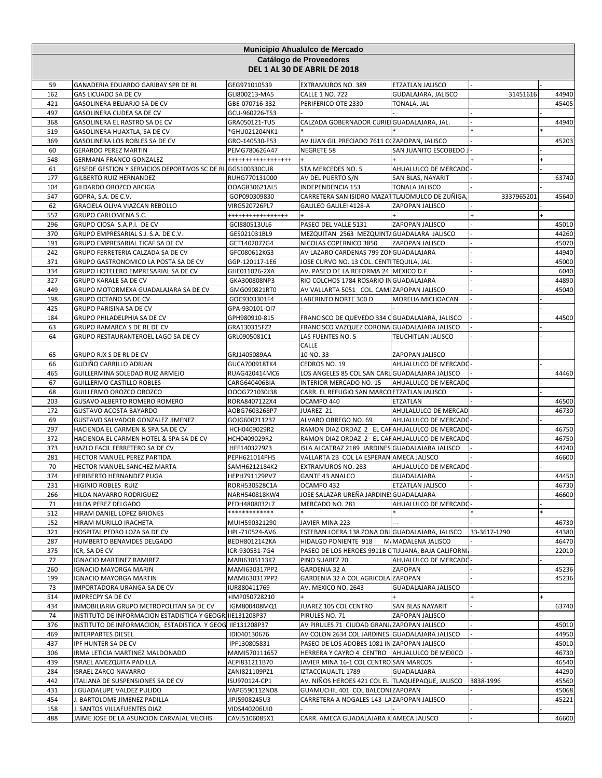|            | Municipio Ahualulco de Mercado                                                                                          |                                |                                                                            |                            |              |                |  |  |  |
|------------|-------------------------------------------------------------------------------------------------------------------------|--------------------------------|----------------------------------------------------------------------------|----------------------------|--------------|----------------|--|--|--|
|            | Catálogo de Proveedores<br>DEL 1 AL 30 DE ABRIL DE 2018                                                                 |                                |                                                                            |                            |              |                |  |  |  |
| 59         | GANADERIA EDUARDO GARIBAY SPR DE RL                                                                                     | GEG971010539                   | EXTRAMUROS NO. 389                                                         | ETZATLAN JALISCO           |              |                |  |  |  |
| 162        | GAS LICUADO SA DE CV                                                                                                    | GLI800213-MA5                  | <b>CALLE 1 NO. 722</b>                                                     | GUDALAJARA, JALISCO        | 31451616     | 44940          |  |  |  |
| 421        | GASOLINERA BELIARJO SA DE CV                                                                                            | GBE-070716-332                 | PERIFERICO OTE 2330                                                        | TONALA, JAL                |              | 45405          |  |  |  |
| 497        | GASOLINERA CUDEA SA DE CV                                                                                               | GCU-960226-TS3                 |                                                                            |                            |              | 44940          |  |  |  |
| 368<br>519 | GASOLINERA EL RASTRO SA DE CV<br>GASOLINERA HUAXTLA, SA DE CV                                                           | GRA050121-TU5<br>*GHU021204NK1 | CALZADA GOBERNADOR CURIE GUADALAJARA, JAL.                                 |                            |              |                |  |  |  |
| 369        | GASOLINERA LOS ROBLES SA DE CV                                                                                          | GRO-140530-F53                 | AV JUAN GIL PRECIADO 7611 COZAPOPAN, JALISCO                               |                            |              | 45203          |  |  |  |
| 60         | <b>GERARDO PEREZ MARTIN</b>                                                                                             | PEMG780626A47                  | NEGRETE 58                                                                 | SAN JUANITO ESCOBEDO.      |              |                |  |  |  |
| 548        | GERMANA FRANCO GONZALEZ                                                                                                 | +++++++++++++++++              |                                                                            |                            |              |                |  |  |  |
| 61         | GESEDE GESTION Y SERVICIOS DEPORTIVOS SC DE RL GGS100330CU8                                                             |                                | STA MERCEDES NO. 5                                                         | AHUALULCO DE MERCADO       |              |                |  |  |  |
| 177        | GILBERTO RUIZ HERNANDEZ                                                                                                 | RUHG770131000                  | AV DEL PUERTO S/N                                                          | SAN BLAS, NAYARIT          |              | 63740          |  |  |  |
| 104        | GILDARDO OROZCO ARCIGA                                                                                                  | OOAG830621AL5                  | INDEPENDENCIA 153                                                          | TONALA JALISCO             |              |                |  |  |  |
| 547        | GOPRA, S.A. DE C.V.                                                                                                     | GOP090309830                   | CARRETERA SAN ISIDRO MAZATTLAJOMULCO DE ZUÑIGA                             |                            | 3337965201   | 45640          |  |  |  |
| 62         | GRACIELA OLIVA VIAZCAN REBOLLO                                                                                          | VIRG520726PL7                  | GALILEO GALILEI 4128-A                                                     | ZAPOPAN JALISCO            |              |                |  |  |  |
| 552        | GRUPO CARLOMENA S.C.                                                                                                    | *****************              |                                                                            |                            |              |                |  |  |  |
| 296        | GRUPO CIOSA S.A.P.I. DE CV                                                                                              | GCI880513UL6                   | PASEO DEL VALLE 5131                                                       | ZAPOPAN JALISCO            |              | 45010          |  |  |  |
| 370<br>191 | GRUPO EMPRESARIAL S.J. S.A. DE C.V.<br>GRUPO EMPRESARIAL TICAF SA DE CV                                                 | GES021031BL9<br>GET1402077G4   | MEZQUITAN 2563 MEZQUINTA GUADALARA JALISCO<br>NICOLAS COPERNICO 3850       | ZAPOPAN JALISCO            |              | 44260<br>45070 |  |  |  |
| 242        | GRUPO FERRETERIA CALZADA SA DE CV                                                                                       | GFC080612KG3                   | AV LAZARO CARDENAS 799 ZON GUADALAJARA                                     |                            |              | 44940          |  |  |  |
| 371        | GRUPO GASTRONOMICO LA POSTA SA DE CV                                                                                    | GGP-120117-1E6                 | JOSE CURVO NO. 13 COL. CENTI TEQUILA, JAL.                                 |                            |              | 45000          |  |  |  |
| 334        | GRUPO HOTELERO EMPRESARIAL SA DE CV                                                                                     | GHE011026-2XA                  | AV. PASEO DE LA REFORMA 24 MEXICO D.F.                                     |                            |              | 6040           |  |  |  |
| 327        | <b>GRUPO KARALE SA DE CV</b>                                                                                            | GKA300808NP3                   | RIO COLCHOS 1784 ROSARIO IN GUADALAJARA                                    |                            |              | 44890          |  |  |  |
| 449        | GRUPO MOTORMEXA GUADALAJARA SA DE CV                                                                                    | GMG090821RT0                   | AV VALLARTA 5051 COL. CAMI ZAPOPAN JALISCO                                 |                            |              | 45040          |  |  |  |
| 198        | <b>GRUPO OCTANO SA DE CV</b>                                                                                            | GOC9303301F4                   | LABERINTO NORTE 300 D                                                      | MORELIA MICHOACAN          |              |                |  |  |  |
| 425        | GRUPO PARISINA SA DE CV                                                                                                 | GPA-930101-QI7                 |                                                                            |                            |              |                |  |  |  |
| 184        | GRUPO PHILADELPHIA SA DE CV                                                                                             | GPH980910-815                  | FRANCISCO DE QUEVEDO 334 OGUADALAJARA, JALISCO                             |                            |              | 44500          |  |  |  |
| 63         | GRUPO RAMARCA S DE RL DE CV                                                                                             | GRA130315FZ2                   | FRANCISCO VAZQUEZ CORONA GUADALAJARA JALISCO                               |                            |              |                |  |  |  |
| 64         | GRUPO RESTAURANTEROEL LAGO SA DE CV                                                                                     | GRL0905081C1                   | LAS FUENTES NO. 5                                                          | TEUCHITLAN JALISCO         |              |                |  |  |  |
|            |                                                                                                                         |                                | CALLE                                                                      |                            |              |                |  |  |  |
| 65         | GRUPO RJX S DE RL DE CV                                                                                                 | GRJ1405089AA                   | 10 NO. 33                                                                  | ZAPOPAN JALISCO            |              |                |  |  |  |
| 66         | GUDIÑO CARRILLO ADRIAN                                                                                                  | GUCA700918TK4                  | CEDROS NO. 19                                                              | AHUALULCO DE MERCADO       |              | 44460          |  |  |  |
| 465<br>67  | GUILLERMINA SOLEDAD RUIZ ARMEJO<br>GUILLERMO CASTILLO ROBLES                                                            | RUAG420414MC6<br>CARG640406BIA | LOS ANGELES 85 COL SAN CARL GUADALAJARA JALISCO<br>INTERIOR MERCADO NO. 15 | AHUALULCO DE MERCADO       |              |                |  |  |  |
| 68         | GUILLERMO OROZCO OROZCO                                                                                                 | OOOG721030J38                  | CARR. EL REFUGIO SAN MARCO ETZATLAN JALISCO                                |                            |              |                |  |  |  |
| 203        | GUSAVO ALBERTO ROMERO ROMERO                                                                                            | RORA8407122X4                  | OCAMPO 440                                                                 | ETZATLAN                   |              | 46500          |  |  |  |
| 172        | <b>GUSTAVO ACOSTA BAYARDO</b>                                                                                           | AOBG7603268P7                  | JUAREZ 21                                                                  | AHULALULCO DE MERCAD       |              | 46730          |  |  |  |
| 69         | GUSTAVO SALVADOR GONZALEZ JIMENEZ                                                                                       | GOJG600711237                  | ALVARO OBREGO NO. 69                                                       | AHUALULCO DE MERCADO       |              |                |  |  |  |
| 297        | HACIENDA EL CARMEN & SPA SA DE CV                                                                                       | HCH0409029R2                   | RAMON DIAZ ORDAZ 2 EL CAHAHUALULCO DE MERCADO                              |                            |              | 46750          |  |  |  |
| 372        | HACIENDA EL CARMEN HOTEL & SPA SA DE CV                                                                                 | HCH0409029R2                   | RAMON DIAZ ORDAZ 2 EL CAFAHUALULCO DE MERCADO                              |                            |              | 46750          |  |  |  |
| 373        | HAZLO FACIL FERRETERO SA DE CV                                                                                          | HFF1403279Z3                   | ISLA ALCATRAZ 2189 JARDINES GUADALAJARA JALISCO                            |                            |              | 44240          |  |  |  |
| 281        | HECTOR MANUEL PEREZ PARTIDA                                                                                             | PEPH621014PH5                  | VALLARTA 2B COL LA ESPERAN AMECA JALISCO                                   |                            |              | 46600          |  |  |  |
| 70         | HECTOR MANUEL SANCHEZ MARTA                                                                                             | SAMH6212184K2                  | EXTRAMUROS NO. 283                                                         | AHUALULCO DE MERCADO       |              |                |  |  |  |
| 374        | <b>HERIBERTO HERNANDEZ PUGA</b>                                                                                         | HEPH791129PV7                  | <b>GANTE 43 ANALCO</b>                                                     | GUADALAJARA                |              | 44450          |  |  |  |
| 231<br>266 | HIGINIO ROBLES RUIZ<br>HILDA NAVARRO RODRIGUEZ                                                                          | RORH530528C1A<br>NARH540818KW4 | OCAMPO 432<br>JOSE SALAZAR UREÑA JARDINE GUADALAJARA                       | <b>ETZATLAN JALISCO</b>    |              | 46730<br>46600 |  |  |  |
| 71         | HILDA PEREZ DELGADO                                                                                                     | PEDH4808032L7                  | MERCADO NO. 281                                                            | AHUALULCO DE MERCADO       |              |                |  |  |  |
| 512        | HIRAM DANIEL LOPEZ BRIONES                                                                                              | *************                  |                                                                            |                            |              |                |  |  |  |
| 152        | HIRAM MURILLO IRACHETA                                                                                                  | MUIH590321290                  | JAVIER MINA 223                                                            |                            |              | 46730          |  |  |  |
| 321        | HOSPITAL PEDRO LOZA SA DE CV                                                                                            | HPL-710524-AV6                 | ESTEBAN LOERA 138 ZONA OBL GUADALAJARA, JALISCO                            |                            | 33-3617-1290 | 44380          |  |  |  |
| 287        | HUMBERTO BENAVIDES DELGADO                                                                                              | BEDH8012142KA                  | HIDALGO PONIENTE 918                                                       | M. MADALENA JALISCO        |              | 46470          |  |  |  |
| 375        | ICR, SA DE CV                                                                                                           | ICR-930531-7G4                 | PASEO DE LOS HEROES 9911B CTIJUANA, BAJA CALIFORNIJ                        |                            |              | 22010          |  |  |  |
| 72         | <b>IGNACIO MARTINEZ RAMIREZ</b>                                                                                         | MARI6305113K7                  | PINO SUAREZ 70                                                             | AHUALULCO DE MERCADO       |              |                |  |  |  |
| 260        | <b>IGNACIO MAYORGA MARIN</b>                                                                                            | MAMI630317PP2                  | GARDENIA 32 A                                                              | ZAPOPAN                    |              | 45236          |  |  |  |
| 199        | <b>IGNACIO MAYORGA MARTIN</b>                                                                                           | MAMI630317PP2                  | GARDENIA 32 A COL AGRICOLA ZAPOPAN                                         |                            |              | 45236          |  |  |  |
| 73         | IMPORTADORA URANGA SA DE CV                                                                                             | IUR880411769                   | AV. MEXICO NO. 2643                                                        | <b>GUADALAJARA JALISCO</b> |              |                |  |  |  |
| 514        | IMPRECPY SA DE CV                                                                                                       | +IMP050728210                  |                                                                            |                            |              | $+$            |  |  |  |
| 434        | INMOBILIARIA GRUPO METROPOLITAN SA DE CV                                                                                | IGM800408MQ1                   | JUAREZ 105 COL CENTRO                                                      | SAN BLAS NAYARIT           |              | 63740          |  |  |  |
| 74<br>376  | INSTITUTO DE INFORMACION ESTADISTICA Y GEOGRI IIE131208P37<br>INSTITUTO DE INFORMACION, ESTADISTICA Y GEOG IIE131208P37 |                                | PIRULES NO. 71<br>AV PIRULES 71 CIUDAD GRANJ ZAPOPAN JALISCO               | ZAPOPAN JALISCO            |              | 45010          |  |  |  |
| 469        | <b>INTERPARTES DIESEL</b>                                                                                               | IDI040130676                   | AV COLON 2634 COL JARDINES GUADALAJARA JALISCO                             |                            |              | 44950          |  |  |  |
| 437        | IPF HUNTER SA DE CV                                                                                                     | IPF130805831                   | PASEO DE LOS ADOBES 1081 IN ZAPOPAN JALISCO                                |                            |              | 45010          |  |  |  |
| 306        | IRMA LETICIA MARTINEZ MALDONADO                                                                                         | MAMI570111657                  | HERRERA Y CAYRO 4 CENTRO AHUALULCO DE MEXICO                               |                            |              | 46730          |  |  |  |
| 439        | ISRAEL AMEZQUITA PADILLA                                                                                                | AEPI831211B70                  | JAVIER MINA 16-1 COL CENTRO SAN MARCOS                                     |                            |              | 46540          |  |  |  |
| 284        | <b>ISRAEL ZARCO NAVARRO</b>                                                                                             | ZANI821109PZ1                  | IZTACCIAUALTL 1789                                                         | GUADALAJARA                |              | 44290          |  |  |  |
| 442        | ITALIANA DE SUSPENSIONES SA DE CV                                                                                       | ISU970124-CP1                  | AV. NIÑOS HEROES 421 COL EL TLAQUEPAQUE, JALISCO                           |                            | 3838-1996    | 45560          |  |  |  |
| 431        | J GUADALUPE VALDEZ PULIDO                                                                                               | VAPG590112ND8                  | GUAMUCHIL 401 COL BALCONIZAPOPAN                                           |                            |              | 45068          |  |  |  |
| 454        | J. BARTOLOME JIMENEZ PADILLA                                                                                            | JIPJ5908245U3                  | CARRETERA A NOGALES 143 LA ZAPOPAN JALISCO                                 |                            |              | 45221          |  |  |  |
| 158        | J. SANTOS VILLAFUENTES DIAZ                                                                                             | VIDS440206UI0                  |                                                                            |                            |              |                |  |  |  |
| 488        | JAIME JOSE DE LA ASUNCION CARVAJAL VILCHIS                                                                              | CAVJ5106085X1                  | CARR. AMECA GUADALAJARA K AMECA JALISCO                                    |                            |              | 46600          |  |  |  |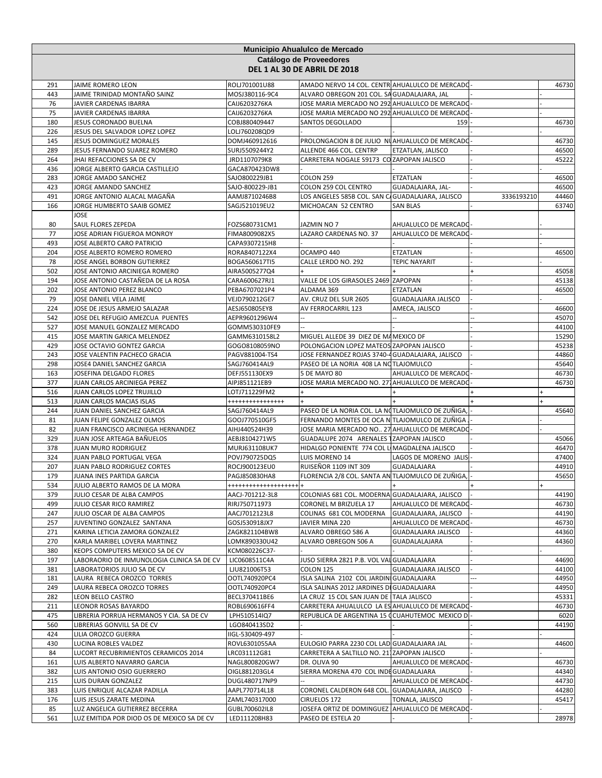|            | Municipio Ahualulco de Mercado                            |                                   |                                                                                       |                            |            |                |  |
|------------|-----------------------------------------------------------|-----------------------------------|---------------------------------------------------------------------------------------|----------------------------|------------|----------------|--|
|            |                                                           |                                   | Catálogo de Proveedores                                                               |                            |            |                |  |
|            |                                                           |                                   | DEL 1 AL 30 DE ABRIL DE 2018                                                          |                            |            |                |  |
| 291        | JAIME ROMERO LEON                                         | ROLJ701001U88                     | AMADO NERVO 14 COL. CENTR AHUALULCO DE MERCADO                                        |                            |            | 46730          |  |
| 443        | JAIME TRINIDAD MONTAÑO SAINZ                              | MOSJ380116-9C4                    | ALVARO OBREGON 201 COL. SA GUADALAJARA, JAL                                           |                            |            |                |  |
| 76         | JAVIER CARDENAS IBARRA                                    | CAIJ6203276KA                     | JOSE MARIA MERCADO NO 292 AHUALULCO DE MERCADO                                        |                            |            |                |  |
| 75         | JAVIER CARDENAS IBARRA                                    | CAIJ6203276KA                     | JOSE MARIA MERCADO NO 292 AHUALULCO DE MERCADO                                        |                            |            |                |  |
| 180        | JESUS CORONADO BUELNA                                     | COBJ880409447                     | SANTOS DEGOLLADO                                                                      | 159                        |            | 46730          |  |
| 226        | JESUS DEL SALVADOR LOPEZ LOPEZ                            | LOLJ760208QD9                     |                                                                                       |                            |            |                |  |
| 145        | JESUS DOMINGUEZ MORALES                                   | DOMJ460912616                     | PROLONGACION 8 DE JULIO NUAHUALULCO DE MERCADO                                        |                            |            | 46730          |  |
| 289        | JESUS FERNANDO SUAREZ ROMERO                              | SURJ5509244Y2                     | ALLENDE 466 COL. CENTRP                                                               | ETZATLAN, JALISCO          |            | 46500          |  |
| 264        | JHAI REFACCIONES SA DE CV                                 | JRD1107079K8                      | CARRETERA NOGALE S9173 CO ZAPOPAN JALISCO                                             |                            |            | 45222          |  |
| 436        | JORGE ALBERTO GARCIA CASTILLEJO                           | GACA870423DW8                     |                                                                                       |                            |            |                |  |
| 283        | JORGE AMADO SANCHEZ                                       | SAJO800229JB1                     | <b>COLON 259</b>                                                                      | ETZATLAN                   |            | 46500          |  |
| 423        | JORGE AMANDO SANCHEZ                                      | SAJO-800229-JB1                   | COLON 259 COL CENTRO                                                                  | GUADALAJARA, JAL-          |            | 46500          |  |
| 491<br>166 | JORGE ANTONIO ALACAL MAGAÑA<br>JORGE HUMBERTO SAAIB GOMEZ | AAMJ8710246B8<br>SAGJ521019EU2    | LOS ANGELES 585B COL. SAN C/ GUADALAJARA, JALISCO<br>MICHOACAN 52 CENTRO              | <b>SAN BLAS</b>            | 3336193210 | 44460<br>63740 |  |
|            | <b>JOSE</b>                                               |                                   |                                                                                       |                            |            |                |  |
| 80         | SAUL FLORES ZEPEDA                                        | FOZS680731CM1                     | JAZMIN NO 7                                                                           | AHUALULCO DE MERCADO       |            |                |  |
| 77         | JOSE ADRIAN FIGUEROA MONROY                               | FIMA8009082X5                     | LAZARO CARDENAS NO. 37                                                                | AHUALULCO DE MERCADO       |            |                |  |
| 493        | JOSE ALBERTO CARO PATRICIO                                | CAPA9307215H8                     |                                                                                       |                            |            |                |  |
| 204        | JOSE ALBERTO ROMERO ROMERO                                | RORA8407122X4                     | OCAMPO 440                                                                            | ETZATLAN                   |            | 46500          |  |
| 78         | JOSE ANGEL BORBON GUTIERREZ                               | BOGA560617TI5                     | CALLE LERDO NO. 292                                                                   | <b>TEPIC NAYARIT</b>       |            |                |  |
| 502        | JOSE ANTONIO ARCINIEGA ROMERO                             | AIRA5005277Q4                     |                                                                                       |                            |            | 45058          |  |
| 194        | JOSE ANTONIO CASTAÑEDA DE LA ROSA                         | CARA600627RJ1                     | VALLE DE LOS GIRASOLES 2469 ZAPOPAN                                                   |                            |            | 45138          |  |
| 202        | JOSE ANTONIO PEREZ BLANCO                                 | PEBA6707021P4                     | ALDAMA 369                                                                            | ETZATLAN                   |            | 46500          |  |
| 79         | JOSE DANIEL VELA JAIME                                    | VEJD790212GE7                     | AV. CRUZ DEL SUR 2605                                                                 | <b>GUADALAJARA JALISCO</b> |            |                |  |
| 224        | JOSE DE JESUS ARMEJO SALAZAR                              | AESJ650805EY8                     | AV FERROCARRIL 123                                                                    | AMECA, JALISCO             |            | 46600          |  |
| 542        | JOSE DEL REFUGIO AMEZCUA PUENTES                          | AEPR9601296W4                     |                                                                                       |                            |            | 45070          |  |
| 527        | JOSE MANUEL GONZALEZ MERCADO                              | GOMM530310FE9                     |                                                                                       |                            |            | 44100          |  |
| 415        | JOSE MARTIN GARICA MELENDEZ                               | GAMM6310158L2                     | MIGUEL ALLEDE 39 DIEZ DE MA MEXICO DF                                                 |                            |            | 15290          |  |
| 429        | JOSE OCTAVIO GONTEZ GARCIA                                | GOGO8108059NO                     | POLONGACION LOPEZ MATEOS ZAPOPAN JALISCO                                              |                            |            | 45238          |  |
| 243        | JOSE VALENTIN PACHECO GRACIA                              | PAGV881004-TS4                    | JOSE FERNANDEZ ROJAS 3740-4 GUADALAJARA, JALISCO                                      |                            |            | 44860          |  |
| 298        | JOSE4 DANIEL SANCHEZ GARCIA                               | SAGJ760414AL9                     | PASEO DE LA NORIA 408 LA NOTLAJOMULCO                                                 |                            |            | 45640          |  |
| 163        | JOSEFINA DELGADO FLORES                                   | DEFJ551130EX9                     | 5 DE MAYO 80                                                                          | AHUALULCO DE MERCADO       |            | 46730          |  |
| 377<br>516 | JUAN CARLOS ARCINIEGA PEREZ                               | AIPJ851121EB9                     | JOSE MARIA MERCADO NO. 271 AHUALULCO DE MERCADO                                       |                            |            | 46730          |  |
| 513        | JUAN CARLOS LOPEZ TRUJILLO<br>JUAN CARLOS MACIAS ISLAS    | LOTJ711229FM2<br>**************** |                                                                                       |                            |            | $\overline{+}$ |  |
| 244        | JUAN DANIEL SANCHEZ GARCIA                                | SAGJ760414AL9                     | PASEO DE LA NORIA COL. LA NOTLAJOMULCO DE ZUÑIGA,                                     |                            |            | 45640          |  |
| 81         | JUAN FELIPE GONZALEZ OLMOS                                | GOOJ770510GF5                     | FERNANDO MONTES DE OCA N TLAJOMULCO DE ZUÑIGA                                         |                            |            |                |  |
| 82         | JUAN FRANCISCO ARCINIEGA HERNANDEZ                        | AIHJ440524H39                     | JOSE MARIA MERCADO NO 27 AHUALULCO DE MERCADO                                         |                            |            |                |  |
| 329        | JUAN JOSE ARTEAGA BAÑUELOS                                | AEBJ8104271W5                     | GUADALUPE 2074 ARENALES 1ZAPOPAN JALISCO                                              |                            |            | 45066          |  |
| 378        | JUAN MURO RODRIGUEZ                                       | MURJ631108UK7                     | HIDALGO PONIENTE 774 COL LI MAGDALENA JALISCO                                         |                            |            | 46470          |  |
| 324        | JUAN PABLO PORTUGAL VEGA                                  | POVJ790725DQ5                     | LUIS MORENO 14                                                                        | LAGOS DE MORENO JALIS      |            | 47400          |  |
| 207        | JUAN PABLO RODRIGUEZ CORTES                               | ROCJ900123EU0                     | <b>RUISEÑOR 1109 INT 309</b>                                                          | GUADALAJARA                |            | 44910          |  |
| 179        | JUANA INES PARTIDA GARCIA                                 | PAGJ850830HA8                     | FLORENCIA 2/8 COL. SANTA AN TLAJOMULCO DE ZUÑIGA,                                     |                            |            | 45650          |  |
| 534        | JULIO ALBERTO RAMOS DE LA MORA                            | +++++++++++++++++++               |                                                                                       |                            | $^{+}$     | $+$            |  |
| 379        | JULIO CESAR DE ALBA CAMPOS                                | AACJ-701212-3L8                   | COLONIAS 681 COL. MODERNA GUADALAJARA, JALISCO                                        |                            |            | 44190          |  |
| 499        | JULIO CESAR RICO RAMIREZ                                  | RIRJ750711973                     | CORONEL M BRIZUELA 17                                                                 | AHUALULCO DE MERCADO       |            | 46730          |  |
| 247        | JULIO OSCAR DE ALBA CAMPOS                                | AACJ7012123L8                     | COLINAS 681 COL MODERNA                                                               | GUADALAJARA, JALISCO       |            | 44190          |  |
| 257        | JUVENTINO GONZALEZ SANTANA                                | GOSJ530918JX7                     | JAVIER MINA 220                                                                       | AHUALULCO DE MERCADO       |            | 46730          |  |
| 271        | KARINA LETICIA ZAMORA GONZALEZ                            | ZAGK821104BW8                     | ALVARO OBREGO 586 A                                                                   | GUADALAJARA JALISCO        |            | 44360          |  |
| 270        | KARLA MARIBEL LOVERA MARTINEZ                             | LOMK890330U42                     | ALVARO OBREGON 506 A                                                                  | GUADALALAJARA              |            | 44360          |  |
| 380        | KEOPS COMPUTERS MEXICO SA DE CV                           | KCM080226C37-                     |                                                                                       |                            |            |                |  |
| 197        | LABORAORIO DE INMUNOLOGIA CLINICA SA DE CV                | LIC0608511C4A                     | JUSO SIERRA 2821 P.B. VOL VALGUADALAJARA                                              |                            |            | 44690          |  |
| 381        | LABORATORIOS JULIO SA DE CV                               | LJU821006T53                      | <b>COLON 125</b>                                                                      | <b>GUADALAJARA JALISCO</b> |            | 44100          |  |
| 181<br>249 | LAURA REBECA OROZCO TORRES<br>LAURA REBECA OROZCO TORRES  | OOTL740920PC4<br>OOTL740920PC4    | ISLA SALINA 2102 COL JARDINI GUADALAJARA<br>ISLA SALINAS 2012 JARDINES DI GUADALAJARA |                            |            | 44950<br>44950 |  |
| 282        | LEON BELLO CASTRO                                         | BECL370411BE6                     | LA CRUZ 15 COL SAN JUAN DE ITALA JALISCO                                              |                            |            | 45331          |  |
| 211        | LEONOR ROSAS BAYARDO                                      | ROBL690616FF4                     | CARRETERA AHUALULCO LA ES AHUALULCO DE MERCADO                                        |                            |            | 46730          |  |
| 475        | LIBRERIA PORRUA HERMANOS Y CIA. SA DE CV                  | LPH510514IQ7                      | REPUBLICA DE ARGENTINA 15 CCUAHUTEMOC MEXICO D                                        |                            |            | 6020           |  |
| 560        | LIBRERIAS GONVILL SA DE CV                                | LGO840413SD2                      |                                                                                       |                            |            | 44190          |  |
| 424        | LILIA OROZCO GUERRA                                       | IIGL-530409-497                   |                                                                                       |                            |            |                |  |
| 430        | LUCINA ROBLES VALDEZ                                      | ROVL6301055AA                     | EULOGIO PARRA 2230 COL LAD GUADALAJARA JAL                                            |                            |            | 44600          |  |
| 84         | LUCORT RECUBRIMIENTOS CERAMICOS 2014                      | LRC031112G81                      | CARRETERA A SALTILLO NO. 211ZAPOPAN JALISCO                                           |                            |            |                |  |
| 161        | LUIS ALBERTO NAVARRO GARCIA                               | NAGL800820GW7                     | DR. OLIVA 90                                                                          | AHUALULCO DE MERCADO       |            | 46730          |  |
| 382        | LUIS ANTONIO OSIO GUERRERO                                | OIGL881203GL4                     | SIERRA MORENA 470 COL INDEGUADALAJARA                                                 |                            |            | 44340          |  |
| 215        | LUIS DURAN GONZALEZ                                       | DUGL480717NP9                     |                                                                                       | AHUALULCO DE MERCADO       |            | 44730          |  |
| 383        | LUIS ENRIQUE ALCAZAR PADILLA                              | AAPL770714L18                     | CORONEL CALDERON 648 COL. GUADALAJARA, JALISCO                                        |                            |            | 44280          |  |
| 176        | LUIS JESUS ZARATE MEDINA                                  | ZAML740317000                     | CIRUELOS 172                                                                          | TONALA, JALISCO            |            | 45417          |  |
| 85         | LUZ ANGELICA GUTIERREZ BECERRA                            | GUBL700602IL8                     | JOSEFA ORTIZ DE DOMINGUEZ                                                             | AHUALULCO DE MERCADO       |            |                |  |
| 561        | LUZ EMITIDA POR DIOD OS DE MEXICO SA DE CV                | LED111208H83                      | PASEO DE ESTELA 20                                                                    |                            |            | 28978          |  |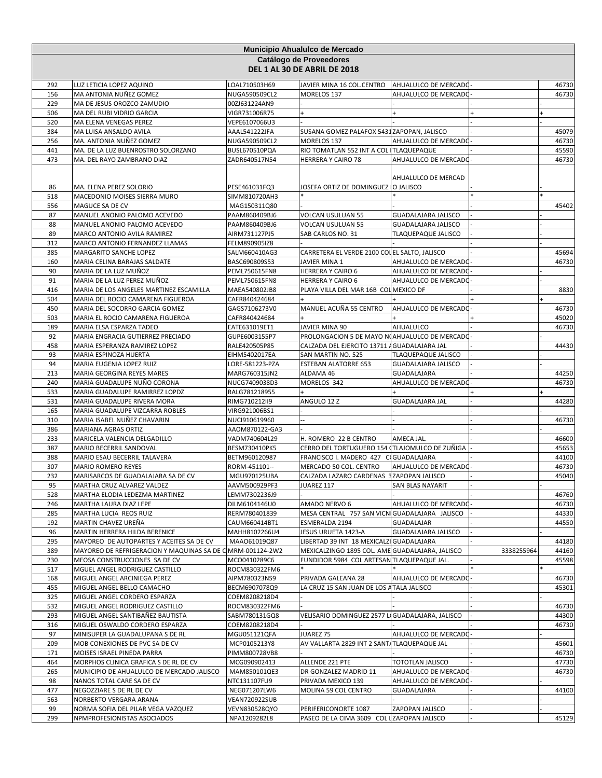|            |                                                                   |                                | <b>Municipio Ahualulco de Mercado</b>                                                   |                            |            |                |
|------------|-------------------------------------------------------------------|--------------------------------|-----------------------------------------------------------------------------------------|----------------------------|------------|----------------|
|            |                                                                   |                                | Catálogo de Proveedores                                                                 |                            |            |                |
|            |                                                                   |                                | DEL 1 AL 30 DE ABRIL DE 2018                                                            |                            |            |                |
| 292        | LUZ LETICIA LOPEZ AQUINO                                          | LOAL710503H69                  | JAVIER MINA 16 COL.CENTRO                                                               | AHUALULCO DE MERCADO       |            | 46730          |
| 156        | MA ANTONIA NUÑEZ GOMEZ                                            | NUGA590509CL2                  | MORELOS 137                                                                             | AHUALULCO DE MERCADO       |            | 46730          |
| 229        | MA DE JESUS OROZCO ZAMUDIO                                        | 00ZJ631224AN9                  |                                                                                         |                            |            |                |
| 506<br>520 | MA DEL RUBI VIDRIO GARCIA<br>MA ELENA VENEGAS PEREZ               | VIGR731006R75<br>VEPE6107066U3 | $\ddot{}$                                                                               |                            |            |                |
| 384        | MA LUISA ANSALDO AVILA                                            | AAAL541222JFA                  | SUSANA GOMEZ PALAFOX 5431 ZAPOPAN, JALISCO                                              |                            |            | 45079          |
| 256        | MA. ANTONIA NUÑEZ GOMEZ                                           | NUGA590509CL2                  | MORELOS 137                                                                             | AHUALULCO DE MERCADO       |            | 46730          |
| 441        | MA. DE LA LUZ BUENROSTRO SOLORZANO                                | BUSL670510PQA                  | RIO TOMATLAN 552 INT A COL TLAQUEPAQUE                                                  |                            |            | 45590          |
| 473        | MA. DEL RAYO ZAMBRANO DIAZ                                        | ZADR640517N54                  | HERRERA Y CAIRO 78                                                                      | AHUALULCO DE MERCADO       |            | 46730          |
|            |                                                                   |                                |                                                                                         | AHUALULCO DE MERCAD        |            |                |
| 86         | MA. ELENA PEREZ SOLORIO                                           | PESE461031FQ3                  | JOSEFA ORTIZ DE DOMINGUEZ  O JALISCO                                                    |                            |            |                |
| 518<br>556 | MACEDONIO MOISES SIERRA MURO<br>MAGUCE SA DE CV                   | SIMM810720AH3<br>MAG150311Q80  |                                                                                         |                            |            | 45402          |
| 87         | MANUEL ANONIO PALOMO ACEVEDO                                      | PAAM860409BJ6                  | VOLCAN USULUAN 55                                                                       | GUADALAJARA JALISCO        |            |                |
| 88         | MANUEL ANONIO PALOMO ACEVEDO                                      | PAAM860409BJ6                  | <b>VOLCAN USULUAN 55</b>                                                                | <b>GUADALAJARA JALISCO</b> |            |                |
| 89         | MARCO ANTONIO AVILA RAMIREZ                                       | AIRM731127PJ5                  | SAB CARLOS NO. 31                                                                       | TLAQUEPAQUE JALISCO        |            |                |
| 312        | MARCO ANTONIO FERNANDEZ LLAMAS                                    | FELM890905IZ8                  |                                                                                         |                            |            |                |
| 385        | MARGARITO SANCHE LOPEZ                                            | SALM660410AG3                  | CARRETERA EL VERDE 2100 COLEL SALTO, JALISCO                                            |                            |            | 45694          |
| 160        | MARIA CELINA BARAJAS SALDATE                                      | BASC690809S53                  | JAVIER MINA 1                                                                           | AHUALULCO DE MERCADO       |            | 46730          |
| 90         | MARIA DE LA LUZ MUÑOZ                                             | PEML750615FN8                  | HERRERA Y CAIRO 6                                                                       | AHUALULCO DE MERCADO       |            |                |
| 91         | MARIA DE LA LUZ PEREZ MUÑOZ                                       | PEML750615FN8                  | <b>HERRERA Y CAIRO 6</b>                                                                | AHUALULCO DE MERCADO       |            |                |
| 416        | MARIA DE LOS ANGELES MARTINEZ ESCAMILLA                           | MAEA540802JB8                  | PLAYA VILLA DEL MAR 16B COL MEXICO DF                                                   |                            |            | 8830           |
| 504        | MARIA DEL ROCIO CAMARENA FIGUEROA                                 | CAFR840424684                  |                                                                                         |                            |            |                |
| 450        | MARIA DEL SOCORRO GARCIA GOMEZ                                    | GAGS7106273V0                  | MANUEL ACUÑA 55 CENTRO                                                                  | AHUALULCO DE MERCADO       |            | 46730          |
| 503<br>189 | MARIA EL ROCIO CAMARENA FIGUEROA                                  | CAFR840424684                  | JAVIER MINA 90                                                                          | AHUALULCO                  |            | 45020<br>46730 |
| 92         | MARIA ELSA ESPARZA TADEO<br>MARIA ENGRACIA GUTIERREZ PRECIADO     | EATE631019ET1<br>GUPE6003155P7 | PROLONGACION 5 DE MAYO NOAHUALULCO DE MERCADO                                           |                            |            |                |
| 458        | MARIA ESPERANZA RAMIREZ LOPEZ                                     | RALE420505P85                  | CALZADA DEL EJERCITO 13711 A GUADALAJARA JAL                                            |                            |            | 44430          |
| 93         | MARIA ESPINOZA HUERTA                                             | EIHM5402017EA                  | SAN MARTIN NO. 525                                                                      | <b>TLAQUEPAQUE JALISCO</b> |            |                |
| 94         | MARIA EUGENIA LOPEZ RUIZ                                          | LORE-581223-PZA                | <b>ESTEBAN ALATORRE 653</b>                                                             | GUADALAJARA JALISCO        |            |                |
| 213        | MARIA GEORGINA REYES MARES                                        | MARG760315JN2                  | ALDAMA 46                                                                               | GUADALAJARA                |            | 44250          |
| 240        | MARIA GUADALUPE NUÑO CORONA                                       | NUCG7409038D3                  | MORELOS 342                                                                             | AHUALULCO DE MERCADO       |            | 46730          |
| 533        | MARIA GUADALUPE RAMIRREZ LOPDZ                                    | RALG781218955                  |                                                                                         |                            |            |                |
| 531        | MARIA GUADALUPE RIVERA MORA                                       | RIMG710212II9                  | ANGULO 12 Z                                                                             | GUADALAJARA JAL            |            | 44280          |
| 165        | MARIA GUADALUPE VIZCARRA ROBLES                                   | VIRG921006BS1                  |                                                                                         |                            |            |                |
| 310        | MARIA ISABEL NUÑEZ CHAVARIN                                       | NUCI910619960                  |                                                                                         |                            |            | 46730          |
| 386        | MARIANA AGRAS ORTIZ                                               | AAOM870122-GA3                 |                                                                                         |                            |            |                |
| 233        | MARICELA VALENCIA DELGADILLO                                      | VADM740604L29                  | H. ROMERO 22 B CENTRO                                                                   | AMECA JAL.                 |            | 46600          |
| 387<br>388 | MARIO BECERRIL SANDOVAL<br>MARIO ESAU BECERRIL TALAVERA           | BESM730410PK5<br>BETM960120987 | CERRO DEL TORTUGUERO 154 (TLAJOMULCO DE ZUÑIGA<br>FRANCISCO I. MADERO 427 CIGUADALAJARA |                            |            | 45653<br>44100 |
| 307        | <b>MARIO ROMERO REYES</b>                                         | RORM-451101--                  | MERCADO 50 COL. CENTRO                                                                  | AHUALULCO DE MERCADO       |            | 46730          |
| 232        | MARISARCOS DE GUADALAJARA SA DE CV                                | MGU970125UBA                   | CALZADA LAZARO CARDENAS 3ZAPOPAN JALISCO                                                |                            |            | 45040          |
| 95         | MARTHA CRUZ ALVAREZ VALDEZ                                        | AAVM500929PF3                  | JUAREZ 117                                                                              | <b>SAN BLAS NAYARIT</b>    |            |                |
| 528        | MARTHA ELODIA LEDEZMA MARTINEZ                                    | LEMM7302236J9                  |                                                                                         |                            |            | 46760          |
| 246        | MARTHA LAURA DIAZ LEPE                                            | DILM6104146U0                  | AMADO NERVO 6                                                                           | AHUALULCO DE MERCADO       |            | 46730          |
| 285        | MARTHA LUCIA REOS RUIZ                                            | RERM780401839                  | MESA CENTRAL 757 SAN VICN GUADALAJARA JALISCO                                           |                            |            | 44330          |
| 192        | MARTIN CHAVEZ UREÑA                                               | CAUM660414BT1                  | ESMERALDA 2194                                                                          | <b>GUADALAJAR</b>          |            | 44550          |
| 96         | MARTIN HERRERA HILDA BERENICE                                     | MAHH8102266U4                  | JESUS URUETA 1423-A                                                                     | GUADALAJARA JALISCO        |            |                |
| 295        | MAYOREO DE AUTOPARTES Y ACEITES SA DE CV                          | MAA061019Q87                   | LIBERTAD 39 INT 18 MEXICALZI GUADALAJARA                                                |                            |            | 44180          |
| 389        | MAYOREO DE REFRIGERACION Y MAQUINAS SA DE C MRM-001124-2W2        |                                | MEXICALZINGO 1895 COL. AME GUADALAJARA, JALISCO                                         |                            | 3338255964 | 44160          |
| 230        | MEOSA CONSTRUCCIONES SA DE CV                                     | MCO0410289C6                   | FUNDIDOR 5984 COL ARTESAN TLAQUEPAQUE JAL.                                              |                            |            | 45598          |
| 517<br>168 | MGUEL ANGEL RODRIGUEZ CASTILLO<br>MIGUEL ANGEL ARCINIEGA PEREZ    | ROCM830322FM6<br>AIPM780323NS9 | PRIVADA GALEANA 28                                                                      | AHUALULCO DE MERCADO       |            | 46730          |
| 455        | MIGUEL ANGEL BELLO CAMACHO                                        | BECM6907078Q9                  | LA CRUZ 15 SAN JUAN DE LOS A TALA JALISCO                                               |                            |            | 45301          |
| 325        | MIGUEL ANGEL CORDERO ESPARZA                                      | COEM8208218D4                  |                                                                                         |                            |            |                |
| 532        | MIGUEL ANGEL RODRIGUEZ CASTILLO                                   | ROCM830322FM6                  |                                                                                         |                            |            | 46730          |
| 293        | MIGUEL ANGEL SANTIBAÑEZ BAUTISTA                                  | SABM780131GQ8                  | VELISARIO DOMINGUEZ 2577 LI GUADALAJARA, JALISCO                                        |                            |            | 44300          |
| 316        | MIGUEL OSWALDO CORDERO ESPARZA                                    | COEM8208218D4                  |                                                                                         |                            |            | 46730          |
| 97         | MINISUPER LA GUADALUPANA S DE RL                                  | MGU051121QFA                   | JUAREZ 75                                                                               | AHUALULCO DE MERCADO       |            |                |
| 209        | MOB CONEXIONES DE PVC SA DE CV                                    | MCP0105213Y8                   | AV VALLARTA 2829 INT 2 SANT/TLAQUEPAQUE JAL                                             |                            |            | 45601          |
| 171        | MOISES ISRAEL PINEDA PARRA                                        | PIMM800728VB8                  |                                                                                         |                            |            | 46730          |
| 464        | MORPHOS CLINICA GRAFICA S DE RL DE CV                             | MCG090902413                   | ALLENDE 221 PTE                                                                         | TOTOTLAN JALISCO           |            | 47730          |
| 265        | MUNICIPIO DE AHUALULCO DE MERCADO JALISCO                         | MAM850101QE3                   | DR GONZALEZ MADRID 11                                                                   | AHUALULCO DE MERCADO       |            | 46730          |
| 98         | NANOS TOTAL CARE SA DE CV                                         | NTC131107FU9                   | PRIVADA MEXICO 139                                                                      | AHUALULCO DE MERCADO       |            |                |
| 477        | NEGOZZIARE S DE RL DE CV                                          | NEG071207LW6                   | MOLINA 59 COL CENTRO                                                                    | GUADALAJARA                |            | 44100          |
| 563        | NORBERTO VERGARA ARANA                                            | <b>VEAN720922SUB</b>           |                                                                                         |                            |            |                |
| 99<br>299  | NORMA SOFIA DEL PILAR VEGA VAZQUEZ<br>NPMPROFESIONISTAS ASOCIADOS | VEVN830528QYO<br>NPA1209282L8  | PERIFERICONORTE 1087<br>PASEO DE LA CIMA 3609 COL LZAPOPAN JALISCO                      | ZAPOPAN JALISCO            |            | 45129          |
|            |                                                                   |                                |                                                                                         |                            |            |                |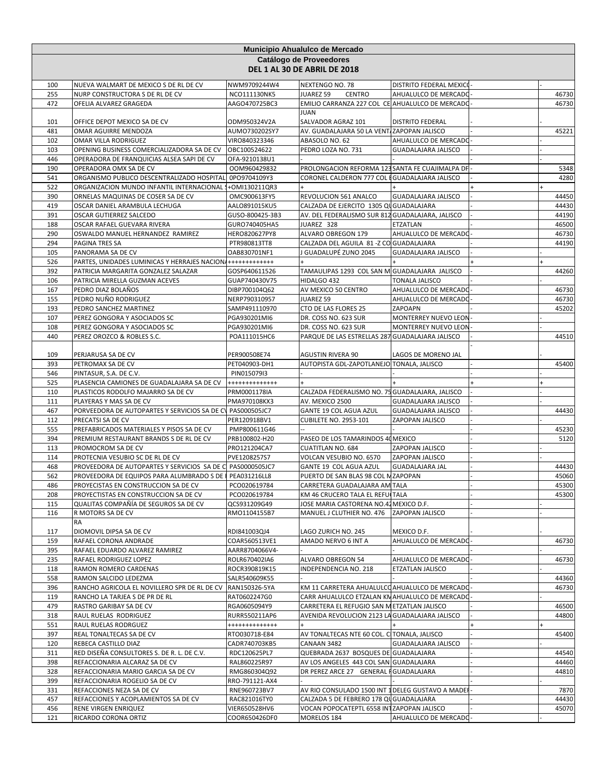|            | Municipio Ahualulco de Mercado                                                   |                              |                                                                  |                            |  |       |  |
|------------|----------------------------------------------------------------------------------|------------------------------|------------------------------------------------------------------|----------------------------|--|-------|--|
|            |                                                                                  |                              | Catálogo de Proveedores                                          |                            |  |       |  |
|            |                                                                                  |                              | DEL 1 AL 30 DE ABRIL DE 2018                                     |                            |  |       |  |
| 100        | NUEVA WALMART DE MEXICO S DE RL DE CV                                            | NWM9709244W4                 | NEXTENGO NO. 78                                                  | DISTRITO FEDERAL MEXICO    |  |       |  |
| 255        | NURP CONSTRUCTORA S DE RL DE CV                                                  | NCO111130NK5                 | <b>CENTRO</b><br>JUAREZ 59                                       | AHUALULCO DE MERCADO       |  | 46730 |  |
| 472        | OFELIA ALVAREZ GRAGEDA                                                           | AAGO470725BC3                | EMILIO CARRANZA 227 COL CE AHUALULCO DE MERCADO<br>JUAN          |                            |  | 46730 |  |
| 101        | OFFICE DEPOT MEXICO SA DE CV                                                     | ODM950324V2A                 | SALVADOR AGRAZ 101                                               | <b>DISTRITO FEDERAL</b>    |  |       |  |
| 481        | OMAR AGUIRRE MENDOZA                                                             | AUMO730202SY7                | AV. GUADALAJARA 50 LA VENT/ZAPOPAN JALISCO                       |                            |  | 45221 |  |
| 102        | OMAR VILLA RODRIGUEZ                                                             | VIRO840323346                | ABASOLO NO. 62                                                   | AHUALULCO DE MERCADO       |  |       |  |
| 103        | OPENING BUSINESS COMERCIALIZADORA SA DE CV                                       | OBC100524622                 | PEDRO LOZA NO. 731                                               | <b>GUADALAJARA JALISCO</b> |  |       |  |
| 446        | OPERADORA DE FRANQUICIAS ALSEA SAPI DE CV                                        | OFA-9210138U1                |                                                                  |                            |  |       |  |
| 190        | OPERADORA OMX SA DE CV                                                           | OOM960429832                 | PROLONGACION REFORMA 123 SANTA FE CUAJIMALPA DF                  |                            |  | 5348  |  |
| 541        | ORGANISMO PUBLICO DESCENTRALIZADO HOSPITAL 0PO9704109Y3                          |                              | CORONEL CALDERON 777 COL EGUADALAJARA JALISCO                    |                            |  | 4280  |  |
| 522        | ORGANIZACION MUNDO INFANTIL INTERNACIONAL                                        | 1+0MI130211QR3               |                                                                  |                            |  |       |  |
| 390        | ORNELAS MAQUINAS DE COSER SA DE CV                                               | OMC900613FY5                 | REVOLUCION 561 ANALCO                                            | GUADALAJARA JALISCO        |  | 44450 |  |
| 419        | OSCAR DANIEL ARAMBULA LECHUGA                                                    | AALO891015KU5                | CALZADA DE EJERCITO 1305 QU GUADALAJARA                          |                            |  | 44430 |  |
| 391        | OSCAR GUTIERREZ SALCEDO                                                          | GUSO-800425-3B3              | AV. DEL FEDERALISMO SUR 812 GUADALAJARA, JALISCO                 |                            |  | 44190 |  |
| 188        | OSCAR RAFAEL GUEVARA RIVERA                                                      | GURO740405HA5                | JUAREZ 328                                                       | ETZATLAN                   |  | 46500 |  |
| 290        | OSWALDO MANUEL HERNANDEZ RAMIREZ                                                 | HERO820627PY8                | ALVARO OBREGON 179                                               | AHUALULCO DE MERCADO       |  | 46730 |  |
| 294        | PAGINA TRES SA                                                                   | PTR980813TT8<br>OAB830701NF1 | CALZADA DEL AGUILA 81 -Z CO GUADALAJARA<br>J GUADALUPÉ ZUNO 2045 | <b>GUADALAJARA JALISCO</b> |  | 44190 |  |
| 105<br>526 | PANORAMA SA DE CV<br>PARTES, UNIDADES LUMINICAS Y HERRAJES NACION ++++++++++++++ |                              |                                                                  |                            |  |       |  |
| 392        | PATRICIA MARGARITA GONZALEZ SALAZAR                                              | GOSP640611526                | TAMAULIPAS 1293 COL SAN M GUADALAJARA JALISCO                    |                            |  | 44260 |  |
| 106        | PATRICIA MIRELLA GUZMAN ACEVES                                                   | GUAP740430V75                | HIDALGO 432                                                      | <b>TONALA JALISCO</b>      |  |       |  |
| 167        | PEDRO DIAZ BOLAÑOS                                                               | DIBP700104Q62                | AV MEXICO 50 CENTRO                                              | AHUALULCO DE MERCADO       |  | 46730 |  |
| 155        | PEDRO NUÑO RODRIGUEZ                                                             | NERP790310957                | JUAREZ 59                                                        | AHUALULCO DE MERCADO       |  | 46730 |  |
| 193        | PEDRO SANCHEZ MARTINEZ                                                           | SAMP491110970                | CTO DE LAS FLORES 25                                             | ZAPOAPN                    |  | 45202 |  |
| 107        | PEREZ GONGORA Y ASOCIADOS SC                                                     | PGA930201MI6                 | DR. COSS NO. 623 SUR                                             | MONTERREY NUEVO LEON       |  |       |  |
| 108        | PEREZ GONGORA Y ASOCIADOS SC                                                     | PGA930201MI6                 | DR. COSS NO. 623 SUR                                             | MONTERREY NUEVO LEON       |  |       |  |
| 440        | PEREZ OROZCO & ROBLES S.C.                                                       | POA111015HC6                 | PARQUE DE LAS ESTRELLAS 287 GUADALAJARA JALISCO                  |                            |  | 44510 |  |
|            |                                                                                  |                              |                                                                  |                            |  |       |  |
| 109        | PERJARUSA SA DE CV                                                               | PER900508E74                 | <b>AGUSTIN RIVERA 90</b>                                         | LAGOS DE MORENO JAL        |  |       |  |
| 393        | PETROMAX SA DE CV                                                                | PET040903-DH1                | AUTOPISTA GDL-ZAPOTLANEJO TONALA, JALISCO                        |                            |  | 45400 |  |
| 546        | PINTASUR, S.A. DE C.V.                                                           | PIN015079I3                  |                                                                  |                            |  |       |  |
| 525        | PLASENCIA CAMIONES DE GUADALAJARA SA DE CV                                       | +++++++++++++                |                                                                  |                            |  |       |  |
| 110        | PLASTICOS RODOLFO MAJARRO SA DE CV                                               | PRM0001178IA                 | CALZADA FEDERALISMO NO. 75 GUADALAJARA, JALISCO                  |                            |  |       |  |
| 111        | PLAYERAS Y MAS SA DE CV                                                          | PMA970108KX3                 | AV. MEXICO 2500                                                  | GUADALAJARA JALISCO        |  |       |  |
| 467        | PORVEEDORA DE AUTOPARTES Y SERVICIOS SA DE CV                                    | PAS000505JC7                 | GANTE 19 COL AGUA AZUL                                           | GUADALAJARA JALISCO        |  | 44430 |  |
| 112        | PRECATSI SA DE CV                                                                | PER120918BV1                 | <b>CUBILETE NO. 2953-101</b>                                     | ZAPOPAN JALISCO            |  |       |  |
| 555        | PREFABRICADOS MATERIALES Y PISOS SA DE CV                                        | PMP800611G46                 |                                                                  |                            |  | 45230 |  |
| 394        | PREMIUM RESTAURANT BRANDS S DE RL DE CV                                          | PRB100802-H20                | PASEO DE LOS TAMARINDOS 40 MEXICO                                |                            |  | 5120  |  |
| 113        | PROMOCROM SA DE CV                                                               | PRO121204CA7                 | <b>CUATITLAN NO. 684</b>                                         | ZAPOPAN JALISCO            |  |       |  |
| 114        | PROTECNIA VESUBIO SC DE RL DE CV                                                 | PVE1208257S7                 | VOLCAN VESUBIO NO. 6570                                          | ZAPOPAN JALISCO            |  |       |  |
| 468        | PROVEEDORA DE AUTOPARTES Y SERVICIOS SA DE C PAS0000505JC7                       |                              | GANTE 19 COL AGUA AZUL                                           | <b>GUADALAJARA JAL</b>     |  | 44430 |  |
| 562        | PROVEEDORA DE EQUIPOS PARA ALUMBRADO S DE I                                      | PEA031216LL8                 | PUERTO DE SAN BLAS 98 COL M ZAPOPAN                              |                            |  | 45060 |  |
| 486        | PROYECISTAS EN CONSTRUCCION SA DE CV                                             | PCO020619784                 | CARRETERA GUADALAJARA AM TALA                                    |                            |  | 45300 |  |
| 208        | PROYECTISTAS EN CONSTRUCCION SA DE CV                                            | PCO020619784                 | KM 46 CRUCERO TALA EL REFUITALA                                  |                            |  | 45300 |  |
| 115        | QUALITAS COMPAÑÍA DE SEGUROS SA DE CV                                            | QCS931209G49                 | JOSE MARIA CASTORENA NO.42 MEXICO D.F.                           |                            |  |       |  |
| 116        | R MOTORS SA DE CV<br>RA                                                          | RMO1104155B7                 | MANUEL J CLUTHIER NO. 476                                        | ZAPOPAN JALISCO            |  |       |  |
| 117        | DIOMOVIL DIPSA SA DE CV                                                          | RDI841003QJ4                 | LAGO ZURICH NO. 245                                              | MEXICO D.F.                |  |       |  |
| 159        | RAFAEL CORONA ANDRADE                                                            | COAR560513VE1                | AMADO NERVO 6 INT A                                              | AHUALULCO DE MERCADO       |  | 46730 |  |
| 395        | RAFAEL EDUARDO ALVAREZ RAMIREZ                                                   | AARR8704066V4-               |                                                                  |                            |  |       |  |
| 235        | RAFAEL RODRIGUEZ LOPEZ                                                           | ROLR670402IA6                | <b>ALVARO OBREGON 54</b>                                         | AHUALULCO DE MERCADO       |  | 46730 |  |
| 118        | <b>RAMON ROMERO CARDENAS</b>                                                     | ROCR390819K15                | INDEPENDENCIA NO. 218                                            | <b>ETZATLAN JALISCO</b>    |  |       |  |
| 558        | RAMON SALCIDO LEDEZMA                                                            | SALR540609K55                |                                                                  |                            |  | 44360 |  |
| 396        | RANCHO AGRICOLA EL NOVILLERO SPR DE RL DE CV                                     | RAN150326-5YA                | KM 11 CARRETERA AHUALULCO AHUALULCO DE MERCADO                   |                            |  | 46730 |  |
| 119        | RANCHO LA TARJEA S DE PR DE RL                                                   | RAT0602247G0                 | CARR AHUALULCO ETZALAN KN AHUALULCO DE MERCADO                   |                            |  |       |  |
| 479        | RASTRO GARIBAY SA DE CV                                                          | RGA0605094Y9                 | CARRETERA EL REFUGIO SAN METZATLAN JALISCO                       |                            |  | 46500 |  |
| 318        | RAUL RUELAS RODRIGUEZ                                                            | RURR550211AP6                | AVENIDA REVOLUCION 2123 LA GUADALAJARA JALISCO                   |                            |  | 44800 |  |
| 551        | RAUL RUELAS RODRGUEZ                                                             | +++++++++++++                |                                                                  |                            |  |       |  |
| 397        | REAL TONALTECAS SA DE CV                                                         | RTO030718-E84                | AV TONALTECAS NTE 60 COL. C TONALA, JALISCO                      |                            |  | 45400 |  |
| 120        | REBECA CASTILLO DIAZ                                                             | CADR740703KB5                | CANAAN 3482                                                      | GUADALAJARA JALISCO        |  |       |  |
| 311        | RED DISEÑA CONSULTORES S. DE R. L. DE C.V.                                       | RDC120625PL7                 | QUEBRADA 2637 BOSQUES DE GUADALAJARA                             |                            |  | 44540 |  |
| 398        | REFACCIONARIA ALCARAZ SA DE CV                                                   | RAL860225R97                 | AV LOS ANGELES 443 COL SAN GUADALAJARA                           |                            |  | 44460 |  |
| 328        | REFACCIONARIA MARIO GARCIA SA DE CV                                              | RMG860304Q92                 | DR PEREZ ARCE 27 GENERAL FGUADALAJARA                            |                            |  | 44810 |  |
| 399        | REFACCIONARIA ROGELIO SA DE CV                                                   | RRO-791121-AX4               |                                                                  |                            |  |       |  |
| 331        | REFACCIONES NEZA SA DE CV                                                        | RNE960723BV7                 | AV RIO CONSULADO 1500 INT 1 DELEG GUSTAVO A MADEI                |                            |  | 7870  |  |
| 457        | REFACCIONES Y ACOPLAMIENTOS SA DE CV                                             | RAC821016TY0                 | CALZADA 5 DE FEBRERO 178 QU GUADALAJARA                          |                            |  | 44430 |  |
| 456        | RENE VIRGEN ENRIQUEZ                                                             | VIER650528HV6                | VOCAN POPOCATEPTL 6558 INTZAPOPAN JALISCO                        |                            |  | 45070 |  |
| 121        | RICARDO CORONA ORTIZ                                                             | COOR650426DF0                | MORELOS 184                                                      | AHUALULCO DE MERCADO-      |  |       |  |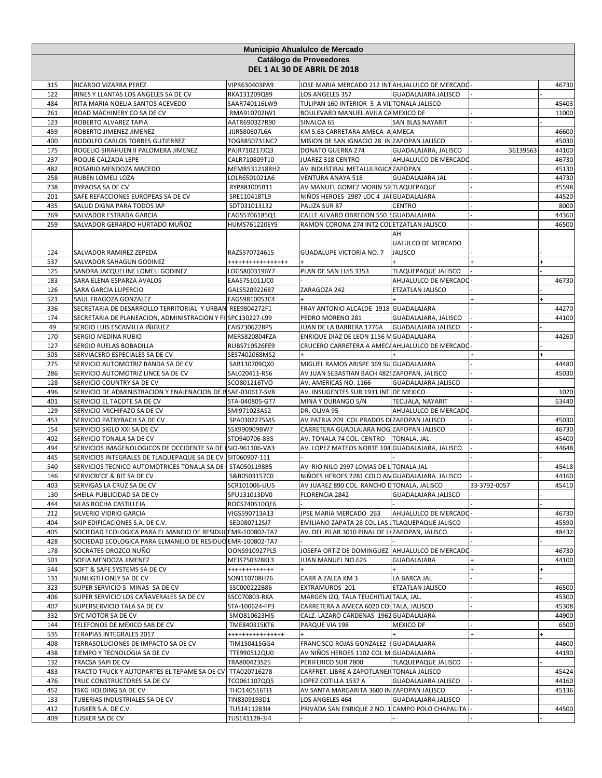|            | Municipio Ahualulco de Mercado                               |                                |                                                                       |                                            |              |                |  |  |
|------------|--------------------------------------------------------------|--------------------------------|-----------------------------------------------------------------------|--------------------------------------------|--------------|----------------|--|--|
|            | Catálogo de Proveedores<br>DEL 1 AL 30 DE ABRIL DE 2018      |                                |                                                                       |                                            |              |                |  |  |
| 315        | RICARDO VIZARRA PEREZ                                        | VIPR630403PA9                  | JOSE MARIA MERCADO 212 INT AHUALULCO DE MERCADO                       |                                            |              | 46730          |  |  |
| 122        | RINES Y LLANTAS LOS ANGELES SA DE CV                         | RKA131209Q89                   | LOS ANGELES 357                                                       | GUADALAJARA JALISCO                        |              |                |  |  |
| 484        | RITA MARIA NOELIA SANTOS ACEVEDO                             | SAAR740116LW9                  | TULIPAN 160 INTERIOR 5 A VIL TONALA JALISCO                           |                                            |              | 45403          |  |  |
| 261        | ROAD MACHINERY CO SA DE CV                                   | RMA910702IW1                   | BOULEVARD MANUEL AVILA CA MEXICO DF                                   |                                            |              | 11000          |  |  |
| 123<br>459 | ROBERTO ALVAREZ TAPIA<br>ROBERTO JIMENEZ JIMENEZ             | AATR690327R90<br>JIJR580607L6A | SINALOA 65<br>KM 5.63 CARRETARA AMECA A AMECA                         | SAN BLAS NAYARIT                           |              | 46600          |  |  |
| 400        | RODOLFO CARLOS TORRES GUTIERREZ                              | TOGR850731NC7                  | MISION DE SAN IGNACIO 28 IN ZAPOPAN JALISCO                           |                                            |              | 45030          |  |  |
| 175        | ROGELIO SIRAHUEN II PALOMERA JIMENEZ                         | PAJR710217JQ3                  | DONATO GUERRA 274                                                     | GUADALAJARA, JALISCO                       | 36139563     | 44100          |  |  |
| 237        | ROQUE CALZADA LEPE                                           | CALR710809T10                  | JUAREZ 318 CENTRO                                                     | AHUALULCO DE MERCADO                       |              | 46730          |  |  |
| 482        | ROSARIO MENDOZA MACEDO                                       | MEMR531218RH2                  | AV INDUSTIRAL METALULRGICA ZAPOPAN                                    |                                            |              | 45130          |  |  |
| 258        | RUBEN LOMELI LOZA                                            | LOLR6501021A6                  | VENTURA ANAYA 518                                                     | <b>GUADALAJARA JAL</b>                     |              | 44730          |  |  |
| 238        | RYPAOSA SA DE CV                                             | RYP881005B11                   | AV MANUEL GOMEZ MORIN 59 TLAQUEPAQUE                                  |                                            |              | 45598          |  |  |
| 201        | SAFE REFACCIONES EUROPEAS SA DE CV                           | SRE110418TL9                   | NIÑOS HEROES 2987 LOC 4 JAI GUADALAJARA                               |                                            |              | 44520          |  |  |
| 435        | SALUD DIGNA PARA TODOS IAP                                   | SDT031013132                   | PALIZA SUR 87                                                         | <b>CENTRO</b>                              |              | 8000           |  |  |
| 269        | SALVADOR ESTRADA GARCIA                                      | EAGS5706185Q1                  | CALLE ALVARO OBREGON 550   GUADALAJARA                                |                                            |              | 44360          |  |  |
| 259        | SALVADOR GERARDO HURTADO MUÑOZ                               | HUMS761220EY9                  | RAMON CORONA 274 INT2 COL ETZATLAN JALISCO                            |                                            |              | 46500          |  |  |
| 124        | SALVADOR RAMIREZ ZEPEDA                                      | RAZS570724615                  | <b>GUADALUPE VICTORIA NO. 7</b>                                       | AH<br>UALULCO DE MERCADO<br><b>JALISCO</b> |              |                |  |  |
| 537        | SALVADOR SAHAGUN GODINEZ                                     | *****************              |                                                                       |                                            |              |                |  |  |
| 125        | SANDRA JACQUELINE LOMELI GODINEZ                             | LOGS8003196Y7                  | PLAN DE SAN LUIS 3353                                                 | <b>TLAQUEPAQUE JALISCO</b>                 |              |                |  |  |
| 183        | SARA ELENA ESPARZA AVALOS                                    | EAAS751011JC0                  |                                                                       | AHUALULCO DE MERCADO                       |              | 46730          |  |  |
| 126        | SARA GARCIA LUPERCIO                                         | GALS520922687                  | ZARAGOZA 242                                                          | ETZATLAN JALISCO                           |              |                |  |  |
| 521        | SAUL FRAGOZA GONZALEZ                                        | FAGS9810053C4                  |                                                                       |                                            |              |                |  |  |
| 336        | SECRETARIA DE DESARROLLO TERRITORIAL Y URBAN REE9804272F1    |                                | FRAY ANTONIO ALCALDE 1918 GUADALAJARA                                 |                                            |              | 44270          |  |  |
| 174        | SECRETARIA DE PLANEACION, ADMINISTRACION Y FILSPC130227-L99  |                                | PEDRO MORENO 281                                                      | GUADALAJARA, JALISCO                       |              | 44100          |  |  |
| 49         | SERGIO LUIS ESCAMILLA IÑIGUEZ                                | EAIS7306228P5                  | JUAN DE LA BARRERA 1776A                                              | <b>GUADALAJARA JALISCO</b>                 |              |                |  |  |
| 170        | SERGIO MEDINA RUBIO                                          | MERS820804FZA                  | ENRIQUE DIAZ DE LEON 1156 M GUADALAJARA                               |                                            |              | 44260          |  |  |
| 127        | SERGIO RUELAS BOBADILLA                                      | RUBS710526FE9                  | CRUCERO CARRETERA A AMECA AHUALULCO DE MERCADO                        |                                            |              |                |  |  |
| 505        | SERVIACERO ESPECIALES SA DE CV                               | SES7402068MS2                  |                                                                       |                                            |              |                |  |  |
| 275        | SERVICIO AUTOMOTRIZ BANDA SA DE CV                           | SAB130709QX0                   | MIGUEL RAMOS ARISPE 369 SU GUADALAJARA                                |                                            |              | 44480          |  |  |
| 286        | SERVICIO AUTOMOTRIZ LINCE SA DE CV                           | SAL020411-R56                  | AV JUAN SEBASTIAN BACH 4825ZAPOPAN, JALISCO                           |                                            |              | 45030          |  |  |
| 128        | SERVICIO COUNTRY SA DE CV                                    | SCO801216TVO                   | AV. AMERICAS NO. 1166                                                 | GUADALAJARA JALISCO                        |              |                |  |  |
| 496        | SERVICIO DE ADMINISTRACION Y ENAJENACION DE B SAE-030617-SV8 |                                | AV. INSUGENTES SUR 1931 INT DE MEXICO                                 |                                            |              | 1020           |  |  |
| 401        | SERVICIO EL TACOTE SA DE CV                                  | STA-040805-GT7                 | MINA Y DURANGO S/N                                                    | TECUALA, NAYARIT                           |              | 63440          |  |  |
| 129        | SERVICIO MICHIFAZO SA DE CV                                  | SMI971023AS2                   | DR. OLIVA 95                                                          | AHUALULCO DE MERCADO                       |              |                |  |  |
| 453        | SERVICIO PATRYBACH SA DE CV                                  | SPA0302275M5                   | AV PATRIA 209 COL PRADOS DI ZAPOPAN JALISCO                           |                                            |              | 45030          |  |  |
| 154<br>402 | SERVICIO SIGLO XXI SA DE CV<br>SERVICIO TONALA SA DE CV      | SSX990909BW7<br>STO940706-8B5  | CARRETERA GUADLAJARA NOG ZAPOPAN JALISCO<br>AV. TONALA 74 COL. CENTRO | TONALA, JAL.                               |              | 46730<br>45400 |  |  |
| 494        | SERVICIOS IMAGENOLOGICOS DE OCCIDENTE SA DE (SIO-961106-VA3  |                                | AV. LOPEZ MATEOS NORTE 104 GUADALAJARA, JALISCO                       |                                            |              | 44648          |  |  |
| 445        | SERVICIOS INTEGRALES DE TLAQUEPAQUE SA DE CV SIT060907-111   |                                |                                                                       |                                            |              |                |  |  |
| 540        | SERVICIOS TECNICO AUTOMOTRICES TONALA SA DE STA0501198B5     |                                | AV RIO NILO 2997 LOMAS DE L TONALA JAL                                |                                            |              | 45418          |  |  |
| 146        | SERVICRECE & BIT SA DE CV                                    | S&B0503157C0                   | NIÑOES HEROES 2281 COLO AN GUADALAJARA JALISCO                        |                                            |              | 44160          |  |  |
| 403        | SERVIGAS LA CRUZ SA DE CV                                    | SCR101006-UU5                  | AV JUAREZ 890 COL. RANCHO LITONALA, JALISCO                           |                                            | 33-3792-0057 | 45410          |  |  |
| 130        | SHEILA PUBLICIDAD SA DE CV                                   | SPU131013DV0                   | FLORENCIA 2842                                                        | <b>GUADALAJARA JALISCO</b>                 |              |                |  |  |
| 444        | SILAS ROCHA CASTILLEJA                                       | ROCS740510QE6                  |                                                                       |                                            |              |                |  |  |
| 212        | SILVERIO VIDRIO GARCIA                                       | VIGS590713A13                  | JPSE MARIA MERCADO 263                                                | AHUALULCO DE MERCADO                       |              | 46730          |  |  |
| 404        | SKIP EDIFICACIONES S.A. DE C.V.                              | SED080712SJ7                   | EMILIANO ZAPATA 28 COL LAS.                                           | <b>TLAQUEPAQUE JALISCO</b>                 |              | 45590          |  |  |
| 405        | SOCIEDAD ECOLOGICA PARA EL MANEJO DE RESIDUO EMR-100802-TA7  |                                | AV. DEL PILAR 3010 PINAL DE LIZAPOPAN, JALISCO.                       |                                            |              | 48432          |  |  |
| 428        | SOCIEDAD ECOLOGICA PARA ELMANEJO DE RESIDUO EMR-100802-TA7   |                                |                                                                       |                                            |              |                |  |  |
| 178        | SOCRATES OROZCO NUÑO                                         | OONS910927PL5                  | JOSEFA ORTIZ DE DOMINGUEZ                                             | AHUALULCO DE MERCADO                       |              | 46730          |  |  |
| 501        | SOFIA MENDOZA JIMENEZ                                        | MEJS750328KL3                  | JUAN MANUEL NO.625                                                    | GUADALAJARA                                |              | 44100          |  |  |
| 544        | SOFT & SAFE SYSTEMS SA DE CV                                 | ++++++++++++                   |                                                                       |                                            |              |                |  |  |
| 131        | SUNLIGTH ONLY SA DE CV                                       | SON110708H76                   | CARR A ZALEA KM 3                                                     | LA BARCA JAL                               |              |                |  |  |
| 323        | SUPER SERVICIO 5 MINAS SA DE CV                              | SSC000222B86                   | EXTRAMUROS 201                                                        | <b>ETZATLAN JALISCO</b>                    |              | 46500          |  |  |
| 406        | SUPER SERVICIO LOS CAÑAVERALES SA DE CV                      | SSC070803-RKA                  | MARGEN IZQ. TALA TEUCHITLA TALA, JAL.                                 |                                            |              | 45300          |  |  |
| 407        | SUPERSERVICIO TALA SA DE CV                                  | STA-100624-FP3                 | CARRETERA A AMECA 6020 COLTALA, JALISCO                               |                                            |              | 45308          |  |  |
| 332        | SYC MOTOR SA DE CV                                           | SMO810623HI5                   | CALZ. LAZARO CARDENAS 1962 GUADALAJARA                                |                                            |              | 44900          |  |  |
| 144        | TELEFONOS DE MEXICO SAB DE CV                                | TME840315KT6                   | PARQUE VIA 198                                                        | MEXICO DF                                  |              | 6500           |  |  |
| 535        | TERAPIAS INTEGRALES 2017                                     | ****************               |                                                                       |                                            |              |                |  |  |
| 408<br>438 | TERRASOLUCIONES DE IMPACTO SA DE CV                          | TIM150415GG4                   | FRANCISCO ROJAS GONZALEZ (GUADALAJARA                                 |                                            |              | 44600<br>44190 |  |  |
| 132        | TIEMPO Y TECNOLOGIA SA DE CV<br>TRACSA SAPI DE CV            | TTE990512QU0<br>TRA800423S25   | AV NIÑOS HEROES 1102 COL M GUADALAJARA<br>PERIFERICO SUR 7800         | <b>TLAQUEPAQUE JALISCO</b>                 |              |                |  |  |
| 483        | TRACTO TRUCK Y AUTOPARTES EL TEPAME SA DE CV                 | TTA020716278                   | CARFRET. LIBRE A ZAPOTLANEJ TONALA JALISCO                            |                                            |              | 45424          |  |  |
| 476        | TRUC CONSTRUCTORES SA DE CV                                  | TCO061107QQ5                   | LOPEZ COTILLA 1537 A                                                  | GUADALAJARA JALISCO                        |              | 44160          |  |  |
| 452        | TSKG HOLDING SA DE CV                                        | THO140516TI3                   | AV SANTA MARGARITA 3600 IN ZAPOPAN JALISCO                            |                                            |              | 45136          |  |  |
| 133        | TUBERIAS INDUSTRIALES SA DE CV                               | TIN8309193D1                   | LOS ANGELES 464                                                       | GUADALAJARA JALISCO                        |              |                |  |  |
| 412        | TUSKER S.A. DE C.V.                                          | TUS1411283I4                   | PRIVADA SAN ENRIQUE 2 NO. 1 CAMPO POLO CHAPALITA                      |                                            |              | 44500          |  |  |
| 409        | TUSKER SA DE CV                                              | TUS141128-3I4                  |                                                                       |                                            |              |                |  |  |
|            |                                                              |                                |                                                                       |                                            |              |                |  |  |